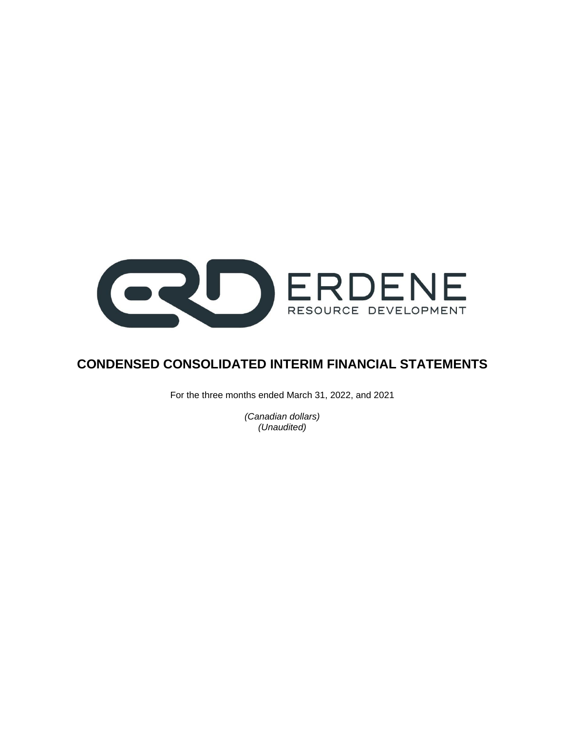

# **CONDENSED CONSOLIDATED INTERIM FINANCIAL STATEMENTS**

For the three months ended March 31, 2022, and 2021

*(Canadian dollars) (Unaudited)*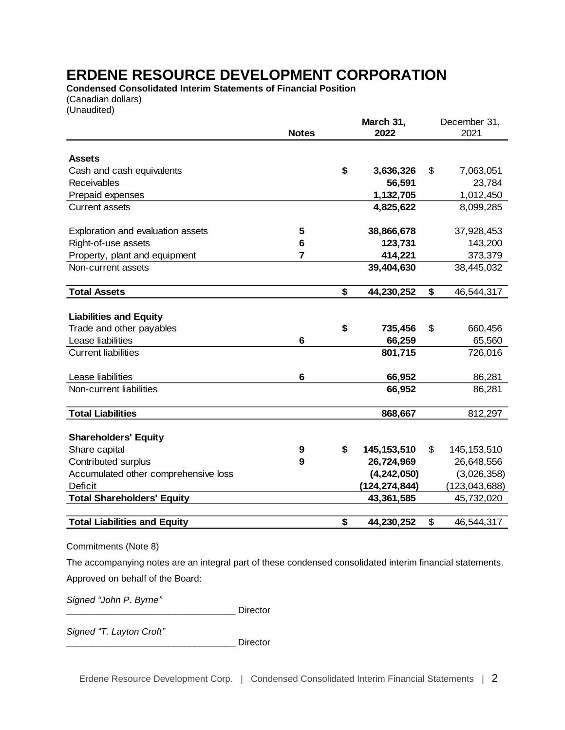**Condensed Consolidated Interim Statements of Financial Position** (Canadian dollars)

(Unaudited)

|                                      |              | March 31,           | December 31,        |
|--------------------------------------|--------------|---------------------|---------------------|
|                                      | <b>Notes</b> | 2022                | 2021                |
|                                      |              |                     |                     |
| <b>Assets</b>                        |              |                     |                     |
| Cash and cash equivalents            |              | \$<br>3,636,326     | \$<br>7,063,051     |
| <b>Receivables</b>                   |              | 56,591              | 23,784              |
| Prepaid expenses                     |              | 1,132,705           | 1,012,450           |
| <b>Current assets</b>                |              | 4,825,622           | 8,099,285           |
|                                      |              |                     |                     |
| Exploration and evaluation assets    | 5            | 38,866,678          | 37,928,453          |
| Right-of-use assets                  | 6            | 123,731             | 143,200             |
| Property, plant and equipment        | 7            | 414,221             | 373,379             |
| Non-current assets                   |              | 39,404,630          | 38,445,032          |
|                                      |              |                     |                     |
| <b>Total Assets</b>                  |              | \$<br>44,230,252    | \$<br>46,544,317    |
|                                      |              |                     |                     |
| <b>Liabilities and Equity</b>        |              |                     |                     |
| Trade and other payables             |              | \$<br>735,456       | \$<br>660,456       |
| Lease liabilities                    | 6            | 66,259              | 65,560              |
| <b>Current liabilities</b>           |              | 801,715             | 726,016             |
|                                      |              |                     |                     |
| Lease liabilities                    | 6            | 66,952              | 86,281              |
| Non-current liabilities              |              | 66,952              | 86,281              |
| <b>Total Liabilities</b>             |              | 868,667             | 812,297             |
|                                      |              |                     |                     |
| <b>Shareholders' Equity</b>          |              |                     |                     |
| Share capital                        | 9            | \$<br>145, 153, 510 | \$<br>145, 153, 510 |
| Contributed surplus                  | 9            | 26,724,969          | 26,648,556          |
| Accumulated other comprehensive loss |              | (4, 242, 050)       | (3,026,358)         |
| <b>Deficit</b>                       |              | (124, 274, 844)     | (123, 043, 688)     |
| <b>Total Shareholders' Equity</b>    |              | 43,361,585          | 45,732,020          |
|                                      |              |                     |                     |
| <b>Total Liabilities and Equity</b>  |              | \$<br>44,230,252    | \$<br>46,544,317    |

Commitments (Note 8)

The accompanying notes are an integral part of these condensed consolidated interim financial statements.

Approved on behalf of the Board:

*Signed "John P. Byrne"*

Director

*Signed "T. Layton Croft"*

Director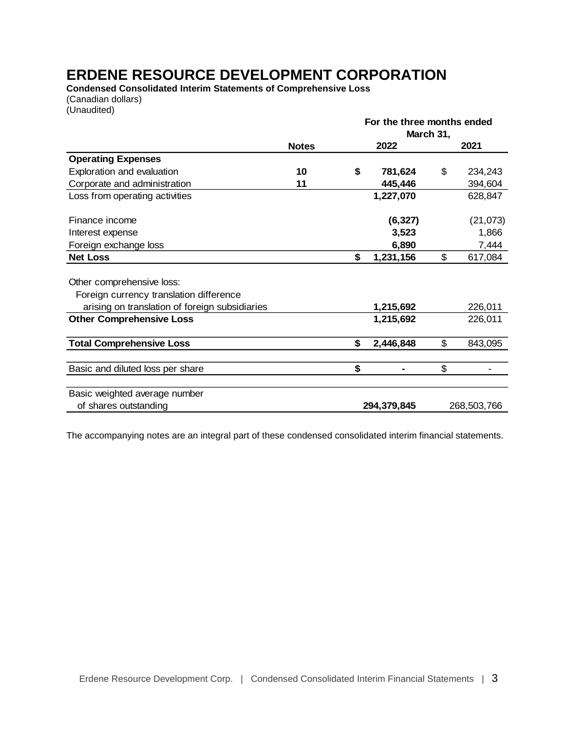**Condensed Consolidated Interim Statements of Comprehensive Loss** (Canadian dollars)

(Unaudited)

|              | For the three months ended |             |                 |  |  |  |
|--------------|----------------------------|-------------|-----------------|--|--|--|
|              |                            |             |                 |  |  |  |
| <b>Notes</b> | 2022                       |             | 2021            |  |  |  |
|              |                            |             |                 |  |  |  |
| 10           | \$<br>781,624              | \$          | 234,243         |  |  |  |
| 11           | 445,446                    |             | 394,604         |  |  |  |
|              | 1,227,070                  |             | 628,847         |  |  |  |
|              | (6, 327)                   |             | (21, 073)       |  |  |  |
|              | 3,523                      |             | 1,866           |  |  |  |
|              | 6,890                      |             | 7,444           |  |  |  |
|              | \$<br>1,231,156            | \$          | 617,084         |  |  |  |
|              |                            |             |                 |  |  |  |
|              |                            |             |                 |  |  |  |
|              | 1,215,692                  |             | 226,011         |  |  |  |
|              | 1,215,692                  |             | 226,011         |  |  |  |
|              | \$<br>2,446,848            | \$          | 843,095         |  |  |  |
|              |                            |             |                 |  |  |  |
|              |                            |             |                 |  |  |  |
|              |                            |             |                 |  |  |  |
|              |                            |             | 268,503,766     |  |  |  |
|              | \$                         | 294,379,845 | March 31,<br>\$ |  |  |  |

The accompanying notes are an integral part of these condensed consolidated interim financial statements.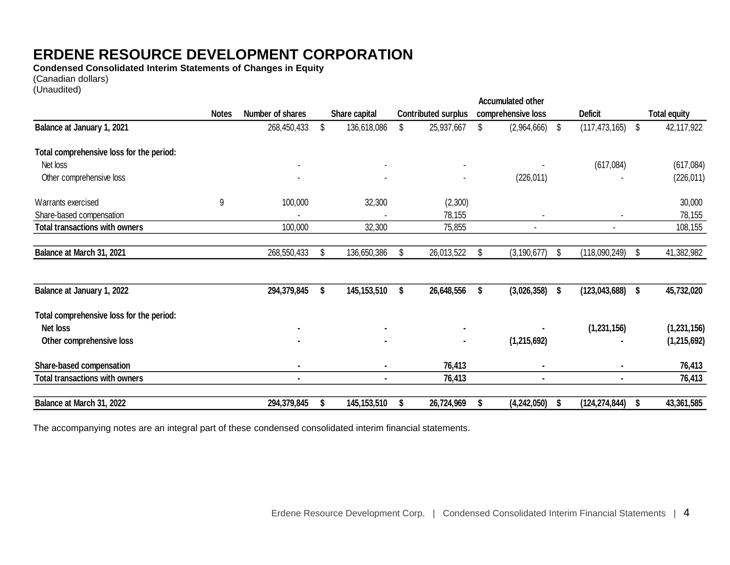**Condensed Consolidated Interim Statements of Changes in Equity**

(Canadian dollars)

(Unaudited)

|                                          |              |                  |                   |    |                            |    | <b>Accumulated other</b> |     |                 |                     |
|------------------------------------------|--------------|------------------|-------------------|----|----------------------------|----|--------------------------|-----|-----------------|---------------------|
|                                          | <b>Notes</b> | Number of shares | Share capital     |    | <b>Contributed surplus</b> |    | comprehensive loss       |     | <b>Deficit</b>  | <b>Total equity</b> |
| Balance at January 1, 2021               |              | 268,450,433      | \$<br>136,618,086 | \$ | 25,937,667                 | S  | $(2,964,666)$ \$         |     | (117, 473, 165) | \$<br>42,117,922    |
| Total comprehensive loss for the period: |              |                  |                   |    |                            |    |                          |     |                 |                     |
| Net loss                                 |              |                  |                   |    |                            |    |                          |     | (617,084)       | (617,084)           |
| Other comprehensive loss                 |              |                  |                   |    |                            |    | (226, 011)               |     |                 | (226, 011)          |
| Warrants exercised                       | 9            | 100,000          | 32,300            |    | (2,300)                    |    |                          |     |                 | 30,000              |
| Share-based compensation                 |              |                  |                   |    | 78,155                     |    |                          |     |                 | 78,155              |
| <b>Total transactions with owners</b>    |              | 100,000          | 32,300            |    | 75,855                     |    |                          |     |                 | 108,155             |
| Balance at March 31, 2021                |              | 268,550,433      | \$<br>136,650,386 | S  | 26,013,522                 | \$ | (3, 190, 677)            | \$  | (118,090,249)   | \$<br>41,382,982    |
| Balance at January 1, 2022               |              | 294,379,845      | \$<br>145,153,510 | \$ | 26,648,556                 | \$ | (3,026,358)              | \$  | (123, 043, 688) | \$<br>45,732,020    |
| Total comprehensive loss for the period: |              |                  |                   |    |                            |    |                          |     |                 |                     |
| <b>Net loss</b>                          |              |                  | $\sim$            |    |                            |    |                          |     | (1, 231, 156)   | (1, 231, 156)       |
| Other comprehensive loss                 |              |                  | $\blacksquare$    |    | $\blacksquare$             |    | (1,215,692)              |     |                 | (1, 215, 692)       |
| Share-based compensation                 |              |                  | $\sim$            |    | 76,413                     |    |                          |     | ٠               | 76,413              |
| <b>Total transactions with owners</b>    |              |                  |                   |    | 76,413                     |    |                          |     | $\blacksquare$  | 76,413              |
| Balance at March 31, 2022                |              | 294,379,845      | 145,153,510       |    | 26,724,969                 |    | (4, 242, 050)            | - 5 | (124, 274, 844) | 43,361,585          |

The accompanying notes are an integral part of these condensed consolidated interim financial statements.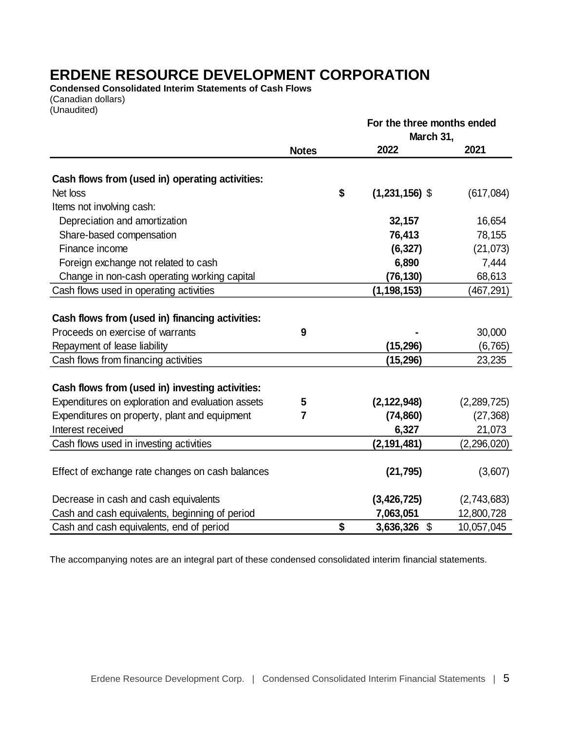**Condensed Consolidated Interim Statements of Cash Flows** (Canadian dollars)

(Unaudited)

|                                                   |                | For the three months ended |             |  |  |  |
|---------------------------------------------------|----------------|----------------------------|-------------|--|--|--|
|                                                   |                | March 31,                  |             |  |  |  |
|                                                   | <b>Notes</b>   | 2022                       | 2021        |  |  |  |
| Cash flows from (used in) operating activities:   |                |                            |             |  |  |  |
| Net loss                                          |                | \$<br>$(1,231,156)$ \$     | (617,084)   |  |  |  |
| Items not involving cash:                         |                |                            |             |  |  |  |
| Depreciation and amortization                     |                | 32,157                     | 16,654      |  |  |  |
| Share-based compensation                          |                | 76,413                     | 78,155      |  |  |  |
| Finance income                                    |                | (6, 327)                   | (21, 073)   |  |  |  |
| Foreign exchange not related to cash              |                | 6,890                      | 7,444       |  |  |  |
| Change in non-cash operating working capital      |                | (76, 130)                  | 68,613      |  |  |  |
| Cash flows used in operating activities           |                | (1, 198, 153)              | (467,291)   |  |  |  |
| Cash flows from (used in) financing activities:   |                |                            |             |  |  |  |
| Proceeds on exercise of warrants                  | 9              |                            | 30,000      |  |  |  |
| Repayment of lease liability                      |                | (15,296)                   | (6, 765)    |  |  |  |
| Cash flows from financing activities              |                | (15,296)                   | 23,235      |  |  |  |
| Cash flows from (used in) investing activities:   |                |                            |             |  |  |  |
| Expenditures on exploration and evaluation assets | 5              | (2, 122, 948)              | (2,289,725) |  |  |  |
| Expenditures on property, plant and equipment     | $\overline{7}$ | (74, 860)                  | (27, 368)   |  |  |  |
| Interest received                                 |                | 6,327                      | 21,073      |  |  |  |
| Cash flows used in investing activities           |                | (2, 191, 481)              | (2,296,020) |  |  |  |
| Effect of exchange rate changes on cash balances  |                | (21, 795)                  | (3,607)     |  |  |  |
| Decrease in cash and cash equivalents             |                | (3, 426, 725)              | (2,743,683) |  |  |  |
| Cash and cash equivalents, beginning of period    |                | 7,063,051                  | 12,800,728  |  |  |  |
| Cash and cash equivalents, end of period          |                | \$<br>3,636,326 \$         | 10,057,045  |  |  |  |

The accompanying notes are an integral part of these condensed consolidated interim financial statements.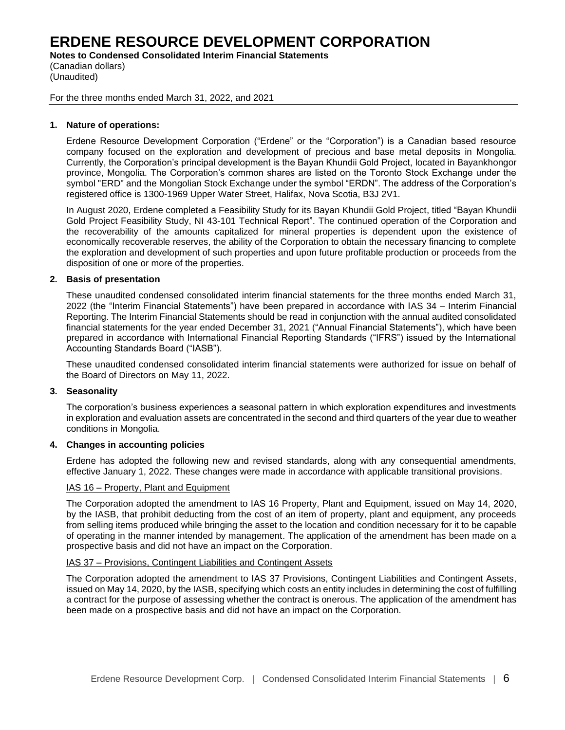**Notes to Condensed Consolidated Interim Financial Statements**

(Canadian dollars) (Unaudited)

For the three months ended March 31, 2022, and 2021

# **1. Nature of operations:**

Erdene Resource Development Corporation ("Erdene" or the "Corporation") is a Canadian based resource company focused on the exploration and development of precious and base metal deposits in Mongolia. Currently, the Corporation's principal development is the Bayan Khundii Gold Project, located in Bayankhongor province, Mongolia. The Corporation's common shares are listed on the Toronto Stock Exchange under the symbol "ERD" and the Mongolian Stock Exchange under the symbol "ERDN". The address of the Corporation's registered office is 1300-1969 Upper Water Street, Halifax, Nova Scotia, B3J 2V1.

In August 2020, Erdene completed a Feasibility Study for its Bayan Khundii Gold Project, titled "Bayan Khundii Gold Project Feasibility Study, NI 43-101 Technical Report". The continued operation of the Corporation and the recoverability of the amounts capitalized for mineral properties is dependent upon the existence of economically recoverable reserves, the ability of the Corporation to obtain the necessary financing to complete the exploration and development of such properties and upon future profitable production or proceeds from the disposition of one or more of the properties.

# **2. Basis of presentation**

These unaudited condensed consolidated interim financial statements for the three months ended March 31, 2022 (the "Interim Financial Statements") have been prepared in accordance with IAS 34 – Interim Financial Reporting. The Interim Financial Statements should be read in conjunction with the annual audited consolidated financial statements for the year ended December 31, 2021 ("Annual Financial Statements"), which have been prepared in accordance with International Financial Reporting Standards ("IFRS") issued by the International Accounting Standards Board ("IASB").

These unaudited condensed consolidated interim financial statements were authorized for issue on behalf of the Board of Directors on May 11, 2022.

## **3. Seasonality**

The corporation's business experiences a seasonal pattern in which exploration expenditures and investments in exploration and evaluation assets are concentrated in the second and third quarters of the year due to weather conditions in Mongolia.

## **4. Changes in accounting policies**

Erdene has adopted the following new and revised standards, along with any consequential amendments, effective January 1, 2022. These changes were made in accordance with applicable transitional provisions.

## IAS 16 – Property, Plant and Equipment

The Corporation adopted the amendment to IAS 16 Property, Plant and Equipment, issued on May 14, 2020, by the IASB, that prohibit deducting from the cost of an item of property, plant and equipment, any proceeds from selling items produced while bringing the asset to the location and condition necessary for it to be capable of operating in the manner intended by management. The application of the amendment has been made on a prospective basis and did not have an impact on the Corporation.

## IAS 37 – Provisions, Contingent Liabilities and Contingent Assets

The Corporation adopted the amendment to IAS 37 Provisions, Contingent Liabilities and Contingent Assets, issued on May 14, 2020, by the IASB, specifying which costs an entity includes in determining the cost of fulfilling a contract for the purpose of assessing whether the contract is onerous. The application of the amendment has been made on a prospective basis and did not have an impact on the Corporation.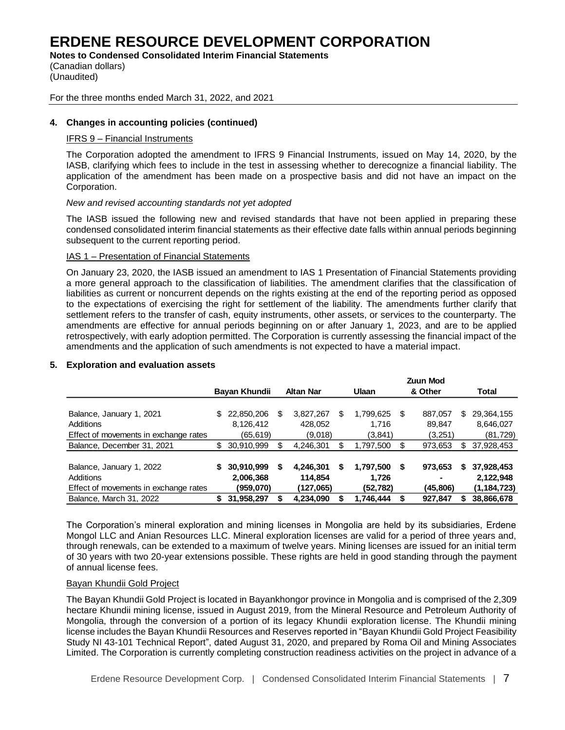**Notes to Condensed Consolidated Interim Financial Statements**

(Canadian dollars) (Unaudited)

### For the three months ended March 31, 2022, and 2021

# **4. Changes in accounting policies (continued)**

## IFRS 9 – Financial Instruments

The Corporation adopted the amendment to IFRS 9 Financial Instruments, issued on May 14, 2020, by the IASB, clarifying which fees to include in the test in assessing whether to derecognize a financial liability. The application of the amendment has been made on a prospective basis and did not have an impact on the Corporation.

## *New and revised accounting standards not yet adopted*

The IASB issued the following new and revised standards that have not been applied in preparing these condensed consolidated interim financial statements as their effective date falls within annual periods beginning subsequent to the current reporting period.

# IAS 1 – Presentation of Financial Statements

On January 23, 2020, the IASB issued an amendment to IAS 1 Presentation of Financial Statements providing a more general approach to the classification of liabilities. The amendment clarifies that the classification of liabilities as current or noncurrent depends on the rights existing at the end of the reporting period as opposed to the expectations of exercising the right for settlement of the liability. The amendments further clarify that settlement refers to the transfer of cash, equity instruments, other assets, or services to the counterparty. The amendments are effective for annual periods beginning on or after January 1, 2023, and are to be applied retrospectively, with early adoption permitted. The Corporation is currently assessing the financial impact of the amendments and the application of such amendments is not expected to have a material impact.

# **Bayan Khundii Altan Nar Ulaan Zuun Mod & Other Total** Balance, January 1, 2021 \$ 22,850,206 \$ 3,827,267 \$ 1,799,625 \$ 887,057 \$ 29,364,155 Additions 8,126,412 428,052 1,716 89,847 8,646,027 Effect of movements in exchange rates (65,619) (9,018) (3,841) (3,251) (81,729) Balance, December 31, 2021 \$ 30,910,999 \$ 4,246,301 \$ 1,797,500 \$ 973,653 \$ 37,928,453 Balance, January 1, 2022 **\$ 30,910,999 \$ 4,246,301 \$ 1,797,500 \$ 973,653 \$ 37,928,453** Additions **2,006,368 114,854 1,726 - 2,122,948** Effect of movements in exchange rates **(959,070) (127,065) (52,782) (45,806) (1,184,723)** Balance, March 31, 2022 **\$ 31,958,297 \$ 4,234,090 \$ 1,746,444 \$ 927,847 \$ 38,866,678**

# **5. Exploration and evaluation assets**

The Corporation's mineral exploration and mining licenses in Mongolia are held by its subsidiaries, Erdene Mongol LLC and Anian Resources LLC. Mineral exploration licenses are valid for a period of three years and, through renewals, can be extended to a maximum of twelve years. Mining licenses are issued for an initial term of 30 years with two 20-year extensions possible. These rights are held in good standing through the payment of annual license fees.

## Bayan Khundii Gold Project

The Bayan Khundii Gold Project is located in Bayankhongor province in Mongolia and is comprised of the 2,309 hectare Khundii mining license, issued in August 2019, from the Mineral Resource and Petroleum Authority of Mongolia, through the conversion of a portion of its legacy Khundii exploration license. The Khundii mining license includes the Bayan Khundii Resources and Reserves reported in "Bayan Khundii Gold Project Feasibility Study NI 43-101 Technical Report", dated August 31, 2020, and prepared by Roma Oil and Mining Associates Limited. The Corporation is currently completing construction readiness activities on the project in advance of a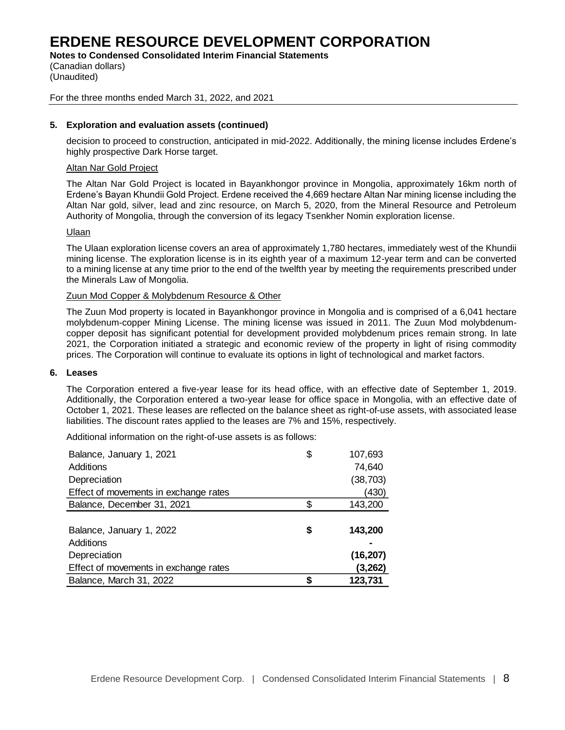**Notes to Condensed Consolidated Interim Financial Statements**

(Canadian dollars) (Unaudited)

## For the three months ended March 31, 2022, and 2021

# **5. Exploration and evaluation assets (continued)**

decision to proceed to construction, anticipated in mid-2022. Additionally, the mining license includes Erdene's highly prospective Dark Horse target.

## Altan Nar Gold Project

The Altan Nar Gold Project is located in Bayankhongor province in Mongolia, approximately 16km north of Erdene's Bayan Khundii Gold Project. Erdene received the 4,669 hectare Altan Nar mining license including the Altan Nar gold, silver, lead and zinc resource, on March 5, 2020, from the Mineral Resource and Petroleum Authority of Mongolia, through the conversion of its legacy Tsenkher Nomin exploration license.

## Ulaan

The Ulaan exploration license covers an area of approximately 1,780 hectares, immediately west of the Khundii mining license. The exploration license is in its eighth year of a maximum 12-year term and can be converted to a mining license at any time prior to the end of the twelfth year by meeting the requirements prescribed under the Minerals Law of Mongolia.

## Zuun Mod Copper & Molybdenum Resource & Other

The Zuun Mod property is located in Bayankhongor province in Mongolia and is comprised of a 6,041 hectare molybdenum-copper Mining License. The mining license was issued in 2011. The Zuun Mod molybdenumcopper deposit has significant potential for development provided molybdenum prices remain strong. In late 2021, the Corporation initiated a strategic and economic review of the property in light of rising commodity prices. The Corporation will continue to evaluate its options in light of technological and market factors.

## **6. Leases**

The Corporation entered a five-year lease for its head office, with an effective date of September 1, 2019. Additionally, the Corporation entered a two-year lease for office space in Mongolia, with an effective date of October 1, 2021. These leases are reflected on the balance sheet as right-of-use assets, with associated lease liabilities. The discount rates applied to the leases are 7% and 15%, respectively.

Additional information on the right-of-use assets is as follows:

| Balance, January 1, 2021              | \$ | 107,693   |
|---------------------------------------|----|-----------|
| Additions                             |    | 74,640    |
| Depreciation                          |    | (38, 703) |
| Effect of movements in exchange rates |    | (430)     |
| Balance, December 31, 2021            | \$ | 143,200   |
|                                       |    |           |
| Balance, January 1, 2022              | S  | 143,200   |
| Additions                             |    |           |
| Depreciation                          |    | (16, 207) |
| Effect of movements in exchange rates |    | (3, 262)  |
| Balance, March 31, 2022               |    |           |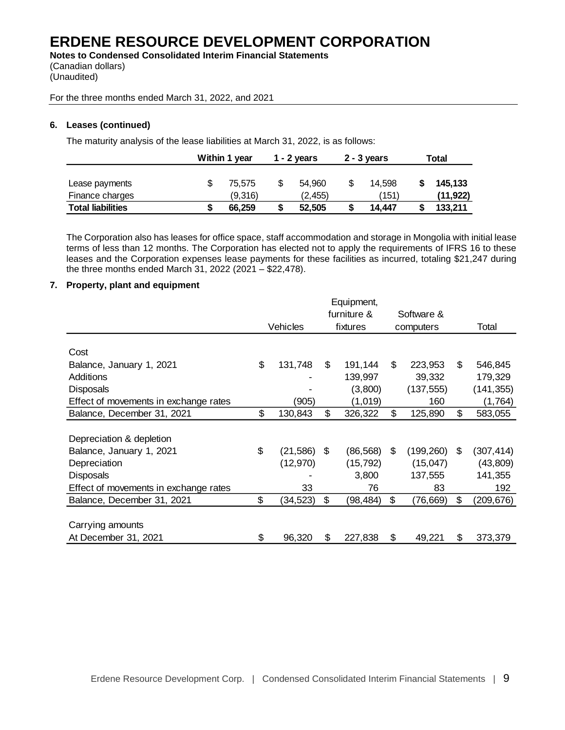**Notes to Condensed Consolidated Interim Financial Statements** (Canadian dollars) (Unaudited)

For the three months ended March 31, 2022, and 2021

# **6. Leases (continued)**

The maturity analysis of the lease liabilities at March 31, 2022, is as follows:

|                          | Within 1 year |  | 1 - 2 years |   | $2 - 3$ years |  | Total    |
|--------------------------|---------------|--|-------------|---|---------------|--|----------|
| Lease payments           | \$<br>75.575  |  | 54.960      | S | 14.598        |  | 145,133  |
| Finance charges          | (9,316)       |  | (2.455)     |   | (151)         |  | (11,922) |
| <b>Total liabilities</b> | 66.259        |  | 52.505      |   | 14.447        |  | 133.211  |

The Corporation also has leases for office space, staff accommodation and storage in Mongolia with initial lease terms of less than 12 months. The Corporation has elected not to apply the requirements of IFRS 16 to these leases and the Corporation expenses lease payments for these facilities as incurred, totaling \$21,247 during the three months ended March 31, 2022 (2021 – \$22,478).

## **7. Property, plant and equipment**

|                                       |                 | Equipment,      |           |            |    |            |
|---------------------------------------|-----------------|-----------------|-----------|------------|----|------------|
|                                       |                 | furniture &     |           | Software & |    |            |
|                                       | Vehicles        | fixtures        | computers |            |    | Total      |
|                                       |                 |                 |           |            |    |            |
| Cost                                  |                 |                 |           |            |    |            |
| Balance, January 1, 2021              | \$<br>131,748   | \$<br>191,144   | \$        | 223,953    | \$ | 546,845    |
| Additions                             |                 | 139,997         |           | 39,332     |    | 179,329    |
| <b>Disposals</b>                      |                 | (3,800)         |           | (137, 555) |    | (141,355)  |
| Effect of movements in exchange rates | (905)           | (1,019)         |           | 160        |    | (1,764)    |
| Balance, December 31, 2021            | \$<br>130,843   | \$<br>326,322   | \$        | 125,890    | \$ | 583,055    |
|                                       |                 |                 |           |            |    |            |
| Depreciation & depletion              |                 |                 |           |            |    |            |
| Balance, January 1, 2021              | \$<br>(21, 586) | \$<br>(86, 568) | \$        | (199, 260) | \$ | (307, 414) |
| Depreciation                          | (12, 970)       | (15, 792)       |           | (15, 047)  |    | (43, 809)  |
| <b>Disposals</b>                      |                 | 3,800           |           | 137,555    |    | 141,355    |
| Effect of movements in exchange rates | 33              | 76              |           | 83         |    | 192        |
| Balance, December 31, 2021            | \$<br>(34, 523) | \$<br>(98,484)  | \$        | (76,669)   | S  | (209,676)  |
|                                       |                 |                 |           |            |    |            |
| Carrying amounts                      |                 |                 |           |            |    |            |
| At December 31, 2021                  | \$<br>96,320    | \$<br>227,838   | \$        | 49,221     | \$ | 373,379    |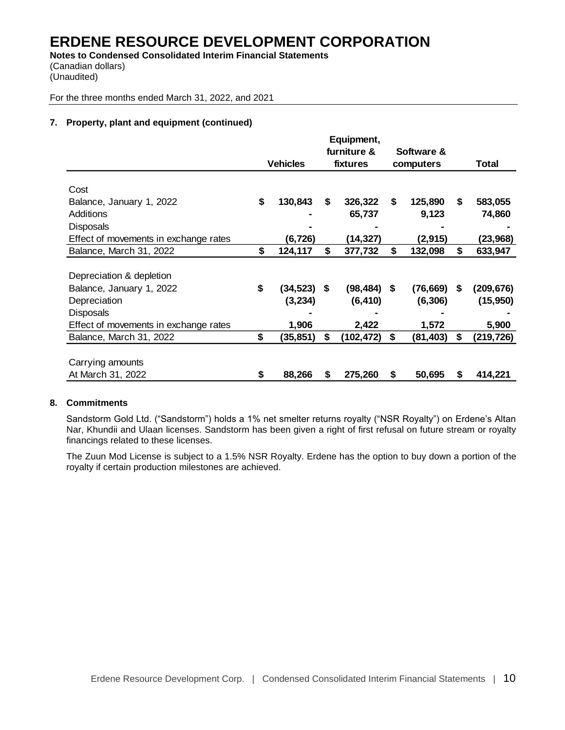**Notes to Condensed Consolidated Interim Financial Statements** (Canadian dollars) (Unaudited)

For the three months ended March 31, 2022, and 2021

# **7. Property, plant and equipment (continued)**

|                                       |                 |    | Equipment,     |                |    |           |
|---------------------------------------|-----------------|----|----------------|----------------|----|-----------|
|                                       |                 |    | furniture &    | Software &     |    |           |
|                                       | <b>Vehicles</b> |    | fixtures       | computers      |    | Total     |
|                                       |                 |    |                |                |    |           |
| Cost                                  |                 |    |                |                |    |           |
| Balance, January 1, 2022              | \$<br>130,843   | S  | 326,322        | \$<br>125,890  | S  | 583,055   |
| Additions                             |                 |    | 65,737         | 9,123          |    | 74,860    |
| <b>Disposals</b>                      |                 |    |                |                |    |           |
| Effect of movements in exchange rates | (6,726)         |    | (14,327)       | (2,915)        |    | (23, 968) |
| Balance, March 31, 2022               | \$<br>124,117   | \$ | 377,732        | \$<br>132,098  | \$ | 633,947   |
|                                       |                 |    |                |                |    |           |
| Depreciation & depletion              |                 |    |                |                |    |           |
| Balance, January 1, 2022              | \$<br>(34,523)  | S. | $(98, 484)$ \$ | (76, 669)      | S  | (209,676) |
| Depreciation                          | (3,234)         |    | (6, 410)       | (6, 306)       |    | (15, 950) |
| <b>Disposals</b>                      |                 |    |                |                |    |           |
| Effect of movements in exchange rates | 1,906           |    | 2,422          | 1,572          |    | 5,900     |
| Balance, March 31, 2022               | \$<br>(35,851)  | \$ | (102, 472)     | \$<br>(81,403) | \$ | (219,726) |
|                                       |                 |    |                |                |    |           |
| Carrying amounts                      |                 |    |                |                |    |           |
| At March 31, 2022                     | \$<br>88,266    | S  | 275,260        | \$<br>50,695   | Ъ  | 414,221   |

# **8. Commitments**

Sandstorm Gold Ltd. ("Sandstorm") holds a 1% net smelter returns royalty ("NSR Royalty") on Erdene's Altan Nar, Khundii and Ulaan licenses. Sandstorm has been given a right of first refusal on future stream or royalty financings related to these licenses.

The Zuun Mod License is subject to a 1.5% NSR Royalty. Erdene has the option to buy down a portion of the royalty if certain production milestones are achieved.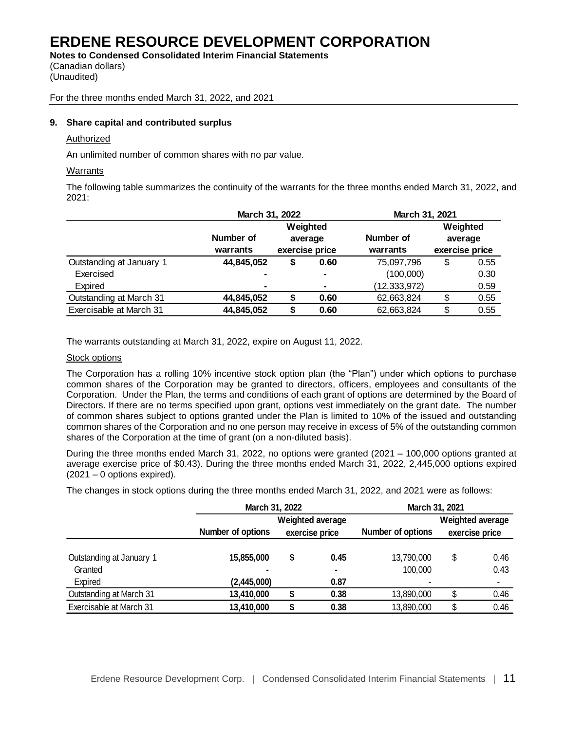**Notes to Condensed Consolidated Interim Financial Statements** (Canadian dollars)

(Unaudited)

For the three months ended March 31, 2022, and 2021

# **9. Share capital and contributed surplus**

# Authorized

An unlimited number of common shares with no par value.

# **Warrants**

The following table summarizes the continuity of the warrants for the three months ended March 31, 2022, and 2021:

|                          | March 31, 2022 |                |                | March 31, 2021 |    |                |  |
|--------------------------|----------------|----------------|----------------|----------------|----|----------------|--|
|                          |                |                | Weighted       |                |    | Weighted       |  |
|                          | Number of      |                | average        | Number of      |    | average        |  |
|                          | warrants       | exercise price |                | warrants       |    | exercise price |  |
| Outstanding at January 1 | 44,845,052     | S              | 0.60           | 75,097,796     | \$ | 0.55           |  |
| Exercised                |                |                | $\blacksquare$ | (100,000)      |    | 0.30           |  |
| Expired                  | ٠              |                | $\blacksquare$ | (12, 333, 972) |    | 0.59           |  |
| Outstanding at March 31  | 44,845,052     | S              | 0.60           | 62,663,824     | \$ | 0.55           |  |
| Exercisable at March 31  | 44,845,052     |                | 0.60           | 62,663,824     | \$ | 0.55           |  |

The warrants outstanding at March 31, 2022, expire on August 11, 2022.

## Stock options

The Corporation has a rolling 10% incentive stock option plan (the "Plan") under which options to purchase common shares of the Corporation may be granted to directors, officers, employees and consultants of the Corporation. Under the Plan, the terms and conditions of each grant of options are determined by the Board of Directors. If there are no terms specified upon grant, options vest immediately on the grant date. The number of common shares subject to options granted under the Plan is limited to 10% of the issued and outstanding common shares of the Corporation and no one person may receive in excess of 5% of the outstanding common shares of the Corporation at the time of grant (on a non-diluted basis).

During the three months ended March 31, 2022, no options were granted (2021 – 100,000 options granted at average exercise price of \$0.43). During the three months ended March 31, 2022, 2,445,000 options expired (2021 – 0 options expired).

The changes in stock options during the three months ended March 31, 2022, and 2021 were as follows:

|                                     | March 31, 2022                        |                   | March 31, 2021                            |    |              |  |
|-------------------------------------|---------------------------------------|-------------------|-------------------------------------------|----|--------------|--|
|                                     | Weighted average<br>Number of options | Number of options | <b>Weighted average</b><br>exercise price |    |              |  |
| Outstanding at January 1<br>Granted | 15,855,000<br>۰                       | \$<br>0.45        | 13,790,000<br>100,000                     | \$ | 0.46<br>0.43 |  |
| Expired                             | (2,445,000)                           | 0.87              | ۰                                         |    |              |  |
| Outstanding at March 31             | 13,410,000                            | 0.38              | 13,890,000                                | S  | 0.46         |  |
| Exercisable at March 31             | 13,410,000                            | 0.38              | 13,890,000                                | ß. | 0.46         |  |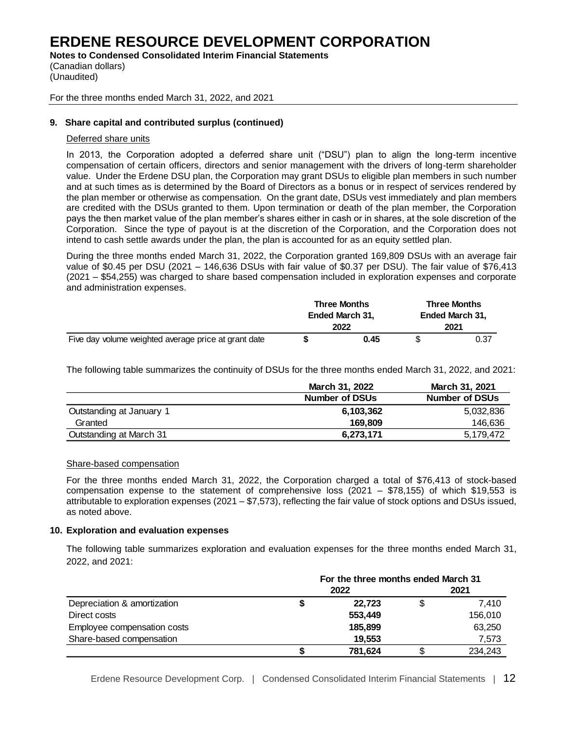**Notes to Condensed Consolidated Interim Financial Statements**

(Canadian dollars) (Unaudited)

## For the three months ended March 31, 2022, and 2021

# **9. Share capital and contributed surplus (continued)**

# Deferred share units

In 2013, the Corporation adopted a deferred share unit ("DSU") plan to align the long-term incentive compensation of certain officers, directors and senior management with the drivers of long-term shareholder value. Under the Erdene DSU plan, the Corporation may grant DSUs to eligible plan members in such number and at such times as is determined by the Board of Directors as a bonus or in respect of services rendered by the plan member or otherwise as compensation. On the grant date, DSUs vest immediately and plan members are credited with the DSUs granted to them. Upon termination or death of the plan member, the Corporation pays the then market value of the plan member's shares either in cash or in shares, at the sole discretion of the Corporation. Since the type of payout is at the discretion of the Corporation, and the Corporation does not intend to cash settle awards under the plan, the plan is accounted for as an equity settled plan.

During the three months ended March 31, 2022, the Corporation granted 169,809 DSUs with an average fair value of \$0.45 per DSU (2021 – 146,636 DSUs with fair value of \$0.37 per DSU). The fair value of \$76,413 (2021 – \$54,255) was charged to share based compensation included in exploration expenses and corporate and administration expenses.

|                                                      | <b>Three Months</b> |      |                 | <b>Three Months</b> |
|------------------------------------------------------|---------------------|------|-----------------|---------------------|
|                                                      | Ended March 31.     |      | Ended March 31. |                     |
|                                                      |                     | 2022 |                 | 2021                |
| Five day volume weighted average price at grant date |                     | 0.45 |                 | 0.37                |

The following table summarizes the continuity of DSUs for the three months ended March 31, 2022, and 2021:

|                          | March 31, 2022        | March 31, 2021        |
|--------------------------|-----------------------|-----------------------|
|                          | <b>Number of DSUs</b> | <b>Number of DSUs</b> |
| Outstanding at January 1 | 6,103,362             | 5,032,836             |
| Granted                  | 169.809               | 146,636               |
| Outstanding at March 31  | 6,273,171             | 5,179,472             |

## Share-based compensation

For the three months ended March 31, 2022, the Corporation charged a total of \$76,413 of stock-based compensation expense to the statement of comprehensive loss (2021 – \$78,155) of which \$19,553 is attributable to exploration expenses (2021 – \$7,573), reflecting the fair value of stock options and DSUs issued, as noted above.

## **10. Exploration and evaluation expenses**

The following table summarizes exploration and evaluation expenses for the three months ended March 31, 2022, and 2021:

|                             | For the three months ended March 31 |         |    |         |  |
|-----------------------------|-------------------------------------|---------|----|---------|--|
|                             |                                     | 2022    |    | 2021    |  |
| Depreciation & amortization | S                                   | 22.723  | \$ | 7.410   |  |
| Direct costs                |                                     | 553,449 |    | 156,010 |  |
| Employee compensation costs |                                     | 185,899 |    | 63,250  |  |
| Share-based compensation    |                                     | 19.553  |    | 7,573   |  |
|                             |                                     | 781,624 |    | 234.243 |  |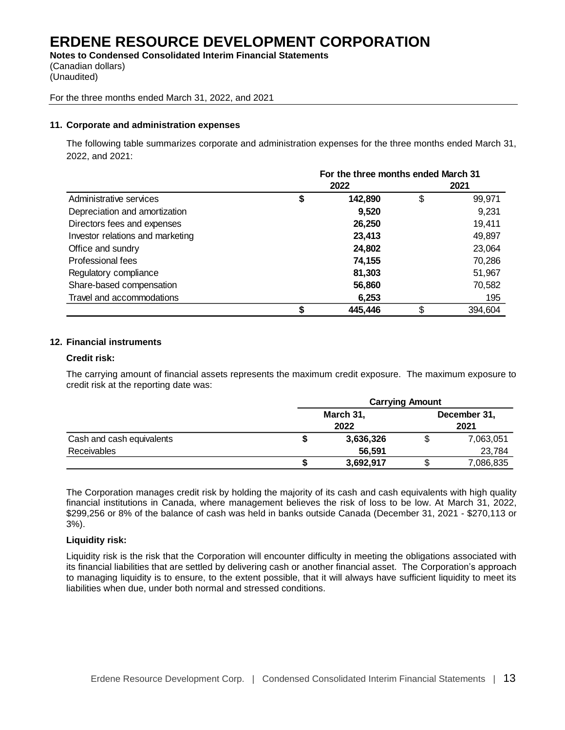**Notes to Condensed Consolidated Interim Financial Statements** (Canadian dollars) (Unaudited)

#### For the three months ended March 31, 2022, and 2021

### **11. Corporate and administration expenses**

The following table summarizes corporate and administration expenses for the three months ended March 31, 2022, and 2021:

|                                  | For the three months ended March 31 |         |      |         |  |
|----------------------------------|-------------------------------------|---------|------|---------|--|
|                                  |                                     | 2022    | 2021 |         |  |
| Administrative services          | \$                                  | 142,890 | \$   | 99,971  |  |
| Depreciation and amortization    |                                     | 9,520   |      | 9,231   |  |
| Directors fees and expenses      |                                     | 26,250  |      | 19,411  |  |
| Investor relations and marketing |                                     | 23,413  |      | 49,897  |  |
| Office and sundry                |                                     | 24,802  |      | 23,064  |  |
| Professional fees                |                                     | 74,155  |      | 70,286  |  |
| Regulatory compliance            |                                     | 81,303  |      | 51,967  |  |
| Share-based compensation         |                                     | 56,860  |      | 70,582  |  |
| Travel and accommodations        |                                     | 6,253   |      | 195     |  |
|                                  |                                     | 445,446 | \$   | 394,604 |  |

#### **12. Financial instruments**

#### **Credit risk:**

The carrying amount of financial assets represents the maximum credit exposure. The maximum exposure to credit risk at the reporting date was:

|                           | <b>Carrying Amount</b> |           |      |              |  |
|---------------------------|------------------------|-----------|------|--------------|--|
|                           |                        | March 31, |      | December 31, |  |
|                           | 2022                   |           | 2021 |              |  |
| Cash and cash equivalents |                        | 3,636,326 |      | 7,063,051    |  |
| Receivables               |                        | 56,591    |      | 23,784       |  |
|                           |                        | 3,692,917 |      | 7,086,835    |  |

The Corporation manages credit risk by holding the majority of its cash and cash equivalents with high quality financial institutions in Canada, where management believes the risk of loss to be low. At March 31, 2022, \$299,256 or 8% of the balance of cash was held in banks outside Canada (December 31, 2021 - \$270,113 or 3%).

## **Liquidity risk:**

Liquidity risk is the risk that the Corporation will encounter difficulty in meeting the obligations associated with its financial liabilities that are settled by delivering cash or another financial asset. The Corporation's approach to managing liquidity is to ensure, to the extent possible, that it will always have sufficient liquidity to meet its liabilities when due, under both normal and stressed conditions.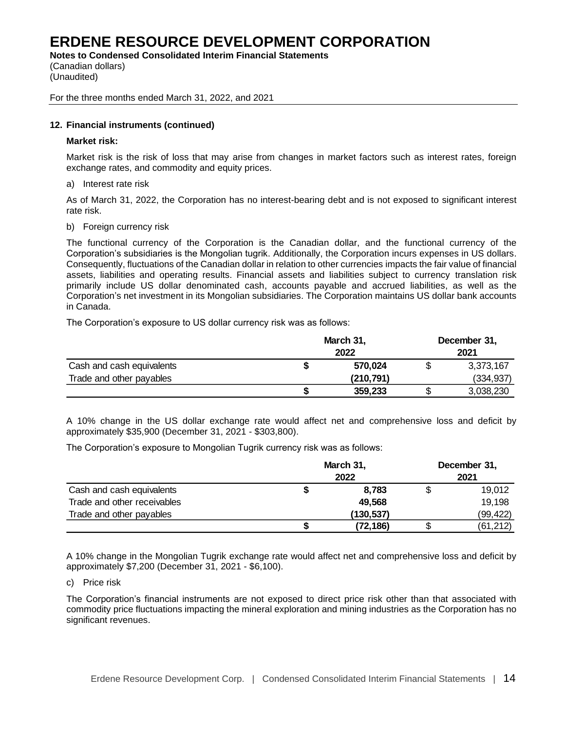**Notes to Condensed Consolidated Interim Financial Statements**

(Canadian dollars) (Unaudited)

For the three months ended March 31, 2022, and 2021

# **12. Financial instruments (continued)**

## **Market risk:**

Market risk is the risk of loss that may arise from changes in market factors such as interest rates, foreign exchange rates, and commodity and equity prices.

a) Interest rate risk

As of March 31, 2022, the Corporation has no interest-bearing debt and is not exposed to significant interest rate risk.

b) Foreign currency risk

The functional currency of the Corporation is the Canadian dollar, and the functional currency of the Corporation's subsidiaries is the Mongolian tugrik. Additionally, the Corporation incurs expenses in US dollars. Consequently, fluctuations of the Canadian dollar in relation to other currencies impacts the fair value of financial assets, liabilities and operating results. Financial assets and liabilities subject to currency translation risk primarily include US dollar denominated cash, accounts payable and accrued liabilities, as well as the Corporation's net investment in its Mongolian subsidiaries. The Corporation maintains US dollar bank accounts in Canada.

The Corporation's exposure to US dollar currency risk was as follows:

|                           | March 31, |            | December 31,<br>2021 |            |  |
|---------------------------|-----------|------------|----------------------|------------|--|
|                           |           |            |                      |            |  |
| Cash and cash equivalents |           | 570,024    |                      | 3,373,167  |  |
| Trade and other payables  |           | (210, 791) |                      | (334, 937) |  |
|                           |           | 359,233    |                      | 3,038,230  |  |

A 10% change in the US dollar exchange rate would affect net and comprehensive loss and deficit by approximately \$35,900 (December 31, 2021 - \$303,800).

The Corporation's exposure to Mongolian Tugrik currency risk was as follows:

|                             | March 31, | December 31,<br>2021 |  |           |
|-----------------------------|-----------|----------------------|--|-----------|
| Cash and cash equivalents   |           | 8.783                |  | 19.012    |
| Trade and other receivables |           | 49,568               |  | 19,198    |
| Trade and other payables    |           | (130,537)            |  | (99, 422) |
|                             |           | (72, 186)            |  | (61, 212) |

A 10% change in the Mongolian Tugrik exchange rate would affect net and comprehensive loss and deficit by approximately \$7,200 (December 31, 2021 - \$6,100).

# c) Price risk

The Corporation's financial instruments are not exposed to direct price risk other than that associated with commodity price fluctuations impacting the mineral exploration and mining industries as the Corporation has no significant revenues.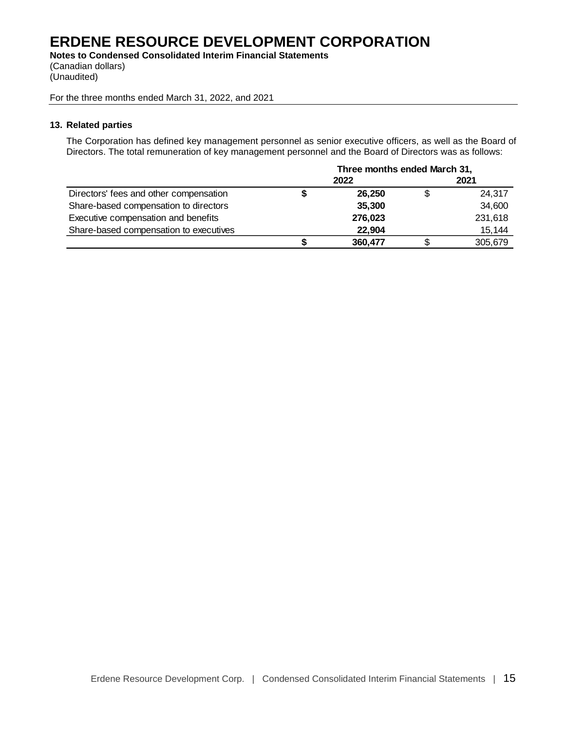**Notes to Condensed Consolidated Interim Financial Statements** (Canadian dollars) (Unaudited)

For the three months ended March 31, 2022, and 2021

### **13. Related parties**

The Corporation has defined key management personnel as senior executive officers, as well as the Board of Directors. The total remuneration of key management personnel and the Board of Directors was as follows:

|                                        | Three months ended March 31, |         |    |         |  |
|----------------------------------------|------------------------------|---------|----|---------|--|
|                                        |                              | 2022    |    | 2021    |  |
| Directors' fees and other compensation |                              | 26.250  | \$ | 24,317  |  |
| Share-based compensation to directors  |                              | 35,300  |    | 34,600  |  |
| Executive compensation and benefits    |                              | 276.023 |    | 231,618 |  |
| Share-based compensation to executives |                              | 22,904  |    | 15,144  |  |
|                                        |                              | 360,477 |    | 305.679 |  |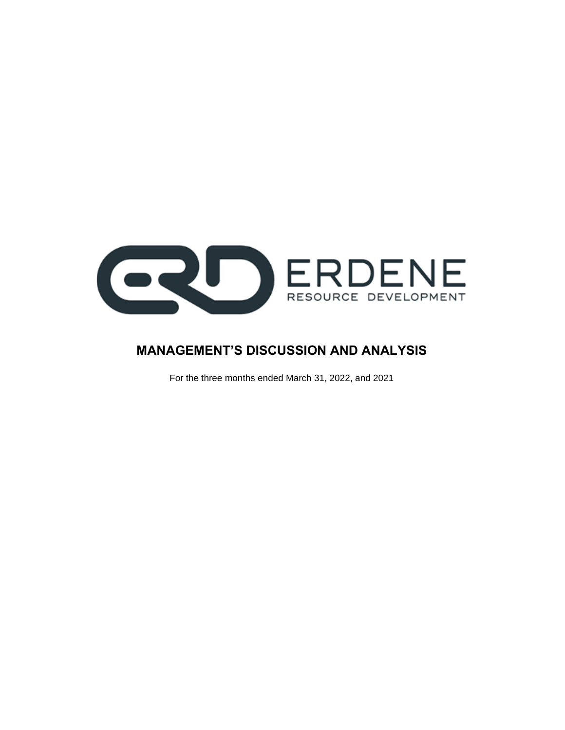

# **MANAGEMENT'S DISCUSSION AND ANALYSIS**

For the three months ended March 31, 2022, and 2021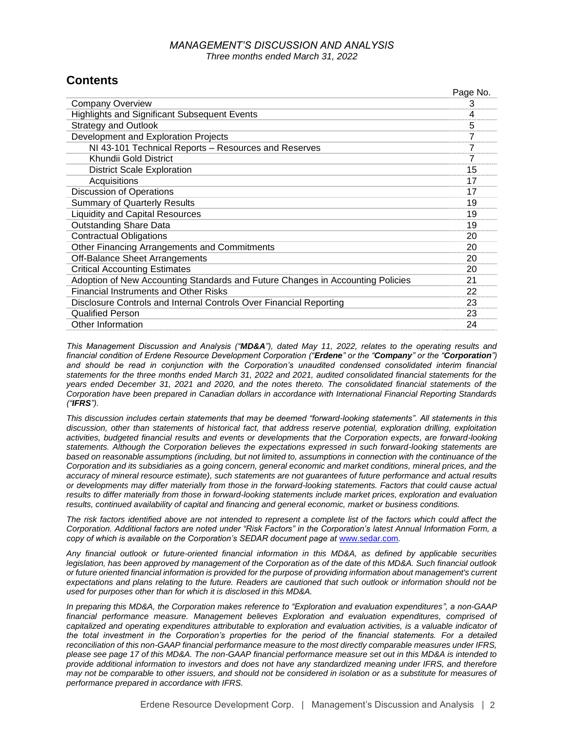# *MANAGEMENT'S DISCUSSION AND ANALYSIS Three months ended March 31, 2022*

Page No.

# **Contents**

|                                                                                | Page No. |
|--------------------------------------------------------------------------------|----------|
| <b>Company Overview</b>                                                        | 3        |
| <b>Highlights and Significant Subsequent Events</b>                            | 4        |
| <b>Strategy and Outlook</b>                                                    | 5        |
| Development and Exploration Projects                                           | 7        |
| NI 43-101 Technical Reports - Resources and Reserves                           | 7        |
| Khundii Gold District                                                          | 7        |
| <b>District Scale Exploration</b>                                              | 15       |
| Acquisitions                                                                   | 17       |
| <b>Discussion of Operations</b>                                                | 17       |
| <b>Summary of Quarterly Results</b>                                            | 19       |
| <b>Liquidity and Capital Resources</b>                                         | 19       |
| <b>Outstanding Share Data</b>                                                  | 19       |
| <b>Contractual Obligations</b>                                                 | 20       |
| Other Financing Arrangements and Commitments                                   | 20       |
| <b>Off-Balance Sheet Arrangements</b>                                          | 20       |
| <b>Critical Accounting Estimates</b>                                           | 20       |
| Adoption of New Accounting Standards and Future Changes in Accounting Policies | 21       |
| <b>Financial Instruments and Other Risks</b>                                   | 22       |
| Disclosure Controls and Internal Controls Over Financial Reporting             | 23       |
| <b>Qualified Person</b>                                                        | 23       |
| Other Information                                                              | 24       |

*This Management Discussion and Analysis ("MD&A"), dated May 11, 2022, relates to the operating results and financial condition of Erdene Resource Development Corporation ("Erdene" or the "Company" or the "Corporation")*  and should be read in conjunction with the Corporation's unaudited condensed consolidated interim financial *statements for the three months ended March 31, 2022 and 2021, audited consolidated financial statements for the years ended December 31, 2021 and 2020, and the notes thereto. The consolidated financial statements of the Corporation have been prepared in Canadian dollars in accordance with International Financial Reporting Standards ("IFRS").*

*This discussion includes certain statements that may be deemed "forward-looking statements". All statements in this discussion, other than statements of historical fact, that address reserve potential, exploration drilling, exploitation activities, budgeted financial results and events or developments that the Corporation expects, are forward-looking statements. Although the Corporation believes the expectations expressed in such forward-looking statements are based on reasonable assumptions (including, but not limited to, assumptions in connection with the continuance of the Corporation and its subsidiaries as a going concern, general economic and market conditions, mineral prices, and the accuracy of mineral resource estimate), such statements are not guarantees of future performance and actual results or developments may differ materially from those in the forward-looking statements. Factors that could cause actual results to differ materially from those in forward-looking statements include market prices, exploration and evaluation results, continued availability of capital and financing and general economic, market or business conditions.*

*The risk factors identified above are not intended to represent a complete list of the factors which could affect the Corporation. Additional factors are noted under "Risk Factors" in the Corporation's latest Annual Information Form, a copy of which is available on the Corporation's SEDAR document page at [www.sedar.com](http://www.sedar.com/).* 

*Any financial outlook or future-oriented financial information in this MD&A, as defined by applicable securities legislation, has been approved by management of the Corporation as of the date of this MD&A. Such financial outlook or future oriented financial information is provided for the purpose of providing information about management's current expectations and plans relating to the future. Readers are cautioned that such outlook or information should not be used for purposes other than for which it is disclosed in this MD&A.*

*In preparing this MD&A, the Corporation makes reference to "Exploration and evaluation expenditures", a non-GAAP financial performance measure. Management believes Exploration and evaluation expenditures, comprised of capitalized and operating expenditures attributable to exploration and evaluation activities, is a valuable indicator of the total investment in the Corporation's properties for the period of the financial statements. For a detailed reconciliation of this non-GAAP financial performance measure to the most directly comparable measures under IFRS, please see page 17 of this MD&A. The non-GAAP financial performance measure set out in this MD&A is intended to provide additional information to investors and does not have any standardized meaning under IFRS, and therefore may not be comparable to other issuers, and should not be considered in isolation or as a substitute for measures of performance prepared in accordance with IFRS.*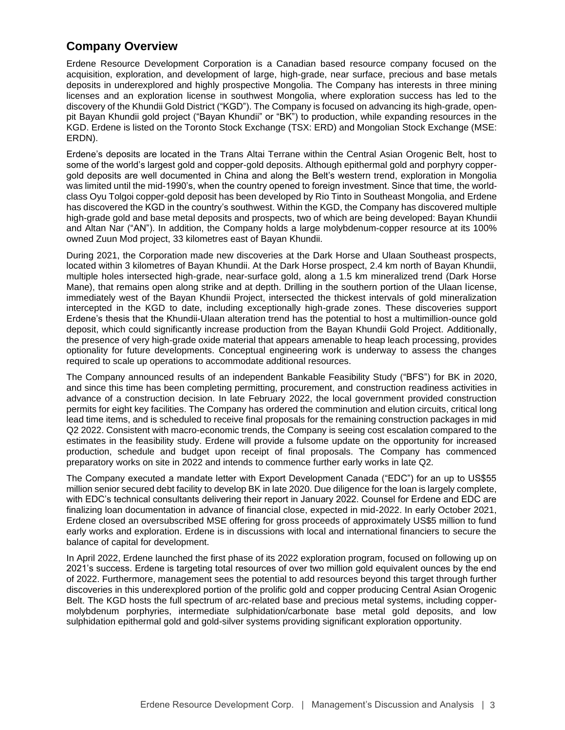# **Company Overview**

Erdene Resource Development Corporation is a Canadian based resource company focused on the acquisition, exploration, and development of large, high-grade, near surface, precious and base metals deposits in underexplored and highly prospective Mongolia. The Company has interests in three mining licenses and an exploration license in southwest Mongolia, where exploration success has led to the discovery of the Khundii Gold District ("KGD"). The Company is focused on advancing its high-grade, openpit Bayan Khundii gold project ("Bayan Khundii" or "BK") to production, while expanding resources in the KGD. Erdene is listed on the Toronto Stock Exchange (TSX: ERD) and Mongolian Stock Exchange (MSE: ERDN).

Erdene's deposits are located in the Trans Altai Terrane within the Central Asian Orogenic Belt, host to some of the world's largest gold and copper-gold deposits. Although epithermal gold and porphyry coppergold deposits are well documented in China and along the Belt's western trend, exploration in Mongolia was limited until the mid-1990's, when the country opened to foreign investment. Since that time, the worldclass Oyu Tolgoi copper-gold deposit has been developed by Rio Tinto in Southeast Mongolia, and Erdene has discovered the KGD in the country's southwest. Within the KGD, the Company has discovered multiple high-grade gold and base metal deposits and prospects, two of which are being developed: Bayan Khundii and Altan Nar ("AN"). In addition, the Company holds a large molybdenum-copper resource at its 100% owned Zuun Mod project, 33 kilometres east of Bayan Khundii.

During 2021, the Corporation made new discoveries at the Dark Horse and Ulaan Southeast prospects, located within 3 kilometres of Bayan Khundii. At the Dark Horse prospect, 2.4 km north of Bayan Khundii, multiple holes intersected high-grade, near-surface gold, along a 1.5 km mineralized trend (Dark Horse Mane), that remains open along strike and at depth. Drilling in the southern portion of the Ulaan license, immediately west of the Bayan Khundii Project, intersected the thickest intervals of gold mineralization intercepted in the KGD to date, including exceptionally high-grade zones. These discoveries support Erdene's thesis that the Khundii-Ulaan alteration trend has the potential to host a multimillion-ounce gold deposit, which could significantly increase production from the Bayan Khundii Gold Project. Additionally, the presence of very high-grade oxide material that appears amenable to heap leach processing, provides optionality for future developments. Conceptual engineering work is underway to assess the changes required to scale up operations to accommodate additional resources.

The Company announced results of an independent Bankable Feasibility Study ("BFS") for BK in 2020, and since this time has been completing permitting, procurement, and construction readiness activities in advance of a construction decision. In late February 2022, the local government provided construction permits for eight key facilities. The Company has ordered the comminution and elution circuits, critical long lead time items, and is scheduled to receive final proposals for the remaining construction packages in mid Q2 2022. Consistent with macro-economic trends, the Company is seeing cost escalation compared to the estimates in the feasibility study. Erdene will provide a fulsome update on the opportunity for increased production, schedule and budget upon receipt of final proposals. The Company has commenced preparatory works on site in 2022 and intends to commence further early works in late Q2.

The Company executed a mandate letter with Export Development Canada ("EDC") for an up to US\$55 million senior secured debt facility to develop BK in late 2020. Due diligence for the loan is largely complete, with EDC's technical consultants delivering their report in January 2022. Counsel for Erdene and EDC are finalizing loan documentation in advance of financial close, expected in mid-2022. In early October 2021, Erdene closed an oversubscribed MSE offering for gross proceeds of approximately US\$5 million to fund early works and exploration. Erdene is in discussions with local and international financiers to secure the balance of capital for development.

In April 2022, Erdene launched the first phase of its 2022 exploration program, focused on following up on 2021's success. Erdene is targeting total resources of over two million gold equivalent ounces by the end of 2022. Furthermore, management sees the potential to add resources beyond this target through further discoveries in this underexplored portion of the prolific gold and copper producing Central Asian Orogenic Belt. The KGD hosts the full spectrum of arc-related base and precious metal systems, including coppermolybdenum porphyries, intermediate sulphidation/carbonate base metal gold deposits, and low sulphidation epithermal gold and gold-silver systems providing significant exploration opportunity.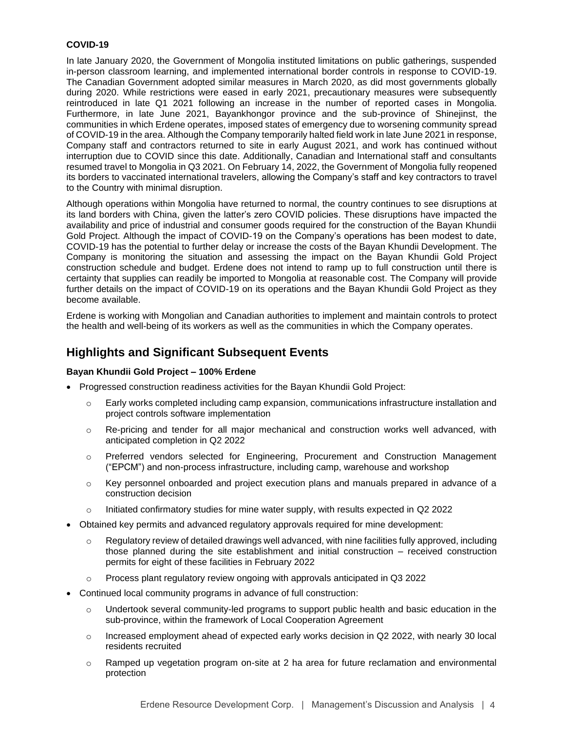# **COVID-19**

In late January 2020, the Government of Mongolia instituted limitations on public gatherings, suspended in-person classroom learning, and implemented international border controls in response to COVID-19. The Canadian Government adopted similar measures in March 2020, as did most governments globally during 2020. While restrictions were eased in early 2021, precautionary measures were subsequently reintroduced in late Q1 2021 following an increase in the number of reported cases in Mongolia. Furthermore, in late June 2021, Bayankhongor province and the sub-province of Shinejinst, the communities in which Erdene operates, imposed states of emergency due to worsening community spread of COVID-19 in the area. Although the Company temporarily halted field work in late June 2021 in response, Company staff and contractors returned to site in early August 2021, and work has continued without interruption due to COVID since this date. Additionally, Canadian and International staff and consultants resumed travel to Mongolia in Q3 2021. On February 14, 2022, the Government of Mongolia fully reopened its borders to vaccinated international travelers, allowing the Company's staff and key contractors to travel to the Country with minimal disruption.

Although operations within Mongolia have returned to normal, the country continues to see disruptions at its land borders with China, given the latter's zero COVID policies. These disruptions have impacted the availability and price of industrial and consumer goods required for the construction of the Bayan Khundii Gold Project. Although the impact of COVID-19 on the Company's operations has been modest to date, COVID-19 has the potential to further delay or increase the costs of the Bayan Khundii Development. The Company is monitoring the situation and assessing the impact on the Bayan Khundii Gold Project construction schedule and budget. Erdene does not intend to ramp up to full construction until there is certainty that supplies can readily be imported to Mongolia at reasonable cost. The Company will provide further details on the impact of COVID-19 on its operations and the Bayan Khundii Gold Project as they become available.

Erdene is working with Mongolian and Canadian authorities to implement and maintain controls to protect the health and well-being of its workers as well as the communities in which the Company operates.

# **Highlights and Significant Subsequent Events**

## **Bayan Khundii Gold Project – 100% Erdene**

- Progressed construction readiness activities for the Bayan Khundii Gold Project:
	- o Early works completed including camp expansion, communications infrastructure installation and project controls software implementation
	- o Re-pricing and tender for all major mechanical and construction works well advanced, with anticipated completion in Q2 2022
	- o Preferred vendors selected for Engineering, Procurement and Construction Management ("EPCM") and non-process infrastructure, including camp, warehouse and workshop
	- $\circ$  Key personnel onboarded and project execution plans and manuals prepared in advance of a construction decision
	- $\circ$  Initiated confirmatory studies for mine water supply, with results expected in Q2 2022
- Obtained key permits and advanced regulatory approvals required for mine development:
	- $\circ$  Regulatory review of detailed drawings well advanced, with nine facilities fully approved, including those planned during the site establishment and initial construction – received construction permits for eight of these facilities in February 2022
	- o Process plant regulatory review ongoing with approvals anticipated in Q3 2022
- Continued local community programs in advance of full construction:
	- $\circ$  Undertook several community-led programs to support public health and basic education in the sub-province, within the framework of Local Cooperation Agreement
	- o Increased employment ahead of expected early works decision in Q2 2022, with nearly 30 local residents recruited
	- $\circ$  Ramped up vegetation program on-site at 2 ha area for future reclamation and environmental protection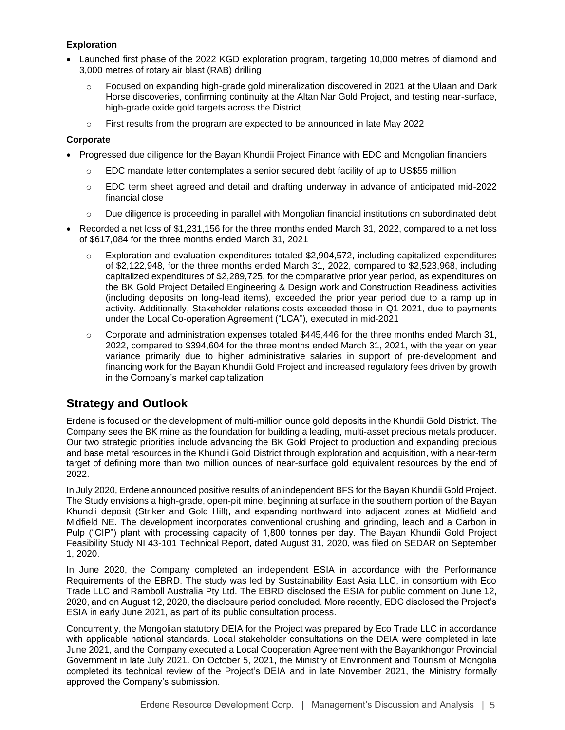# **Exploration**

- Launched first phase of the 2022 KGD exploration program, targeting 10,000 metres of diamond and 3,000 metres of rotary air blast (RAB) drilling
	- o Focused on expanding high-grade gold mineralization discovered in 2021 at the Ulaan and Dark Horse discoveries, confirming continuity at the Altan Nar Gold Project, and testing near-surface, high-grade oxide gold targets across the District
	- $\circ$  First results from the program are expected to be announced in late May 2022

# **Corporate**

- Progressed due diligence for the Bayan Khundii Project Finance with EDC and Mongolian financiers
	- $\circ$  EDC mandate letter contemplates a senior secured debt facility of up to US\$55 million
	- o EDC term sheet agreed and detail and drafting underway in advance of anticipated mid-2022 financial close
	- Due diligence is proceeding in parallel with Mongolian financial institutions on subordinated debt
- Recorded a net loss of \$1,231,156 for the three months ended March 31, 2022, compared to a net loss of \$617,084 for the three months ended March 31, 2021
	- o Exploration and evaluation expenditures totaled \$2,904,572, including capitalized expenditures of \$2,122,948, for the three months ended March 31, 2022, compared to \$2,523,968, including capitalized expenditures of \$2,289,725, for the comparative prior year period, as expenditures on the BK Gold Project Detailed Engineering & Design work and Construction Readiness activities (including deposits on long-lead items), exceeded the prior year period due to a ramp up in activity. Additionally, Stakeholder relations costs exceeded those in Q1 2021, due to payments under the Local Co-operation Agreement ("LCA"), executed in mid-2021
	- $\circ$  Corporate and administration expenses totaled \$445,446 for the three months ended March 31, 2022, compared to \$394,604 for the three months ended March 31, 2021, with the year on year variance primarily due to higher administrative salaries in support of pre-development and financing work for the Bayan Khundii Gold Project and increased regulatory fees driven by growth in the Company's market capitalization

# **Strategy and Outlook**

Erdene is focused on the development of multi-million ounce gold deposits in the Khundii Gold District. The Company sees the BK mine as the foundation for building a leading, multi-asset precious metals producer. Our two strategic priorities include advancing the BK Gold Project to production and expanding precious and base metal resources in the Khundii Gold District through exploration and acquisition, with a near-term target of defining more than two million ounces of near-surface gold equivalent resources by the end of 2022.

In July 2020, Erdene announced positive results of an independent BFS for the Bayan Khundii Gold Project. The Study envisions a high-grade, open-pit mine, beginning at surface in the southern portion of the Bayan Khundii deposit (Striker and Gold Hill), and expanding northward into adjacent zones at Midfield and Midfield NE. The development incorporates conventional crushing and grinding, leach and a Carbon in Pulp ("CIP") plant with processing capacity of 1,800 tonnes per day. The Bayan Khundii Gold Project Feasibility Study NI 43-101 Technical Report, dated August 31, 2020, was filed on SEDAR on September 1, 2020.

In June 2020, the Company completed an independent ESIA in accordance with the Performance Requirements of the EBRD. The study was led by Sustainability East Asia LLC, in consortium with Eco Trade LLC and Ramboll Australia Pty Ltd. The EBRD disclosed the ESIA for public comment on June 12, 2020, and on August 12, 2020, the disclosure period concluded. More recently, EDC disclosed the Project's ESIA in early June 2021, as part of its public consultation process.

Concurrently, the Mongolian statutory DEIA for the Project was prepared by Eco Trade LLC in accordance with applicable national standards. Local stakeholder consultations on the DEIA were completed in late June 2021, and the Company executed a Local Cooperation Agreement with the Bayankhongor Provincial Government in late July 2021. On October 5, 2021, the Ministry of Environment and Tourism of Mongolia completed its technical review of the Project's DEIA and in late November 2021, the Ministry formally approved the Company's submission.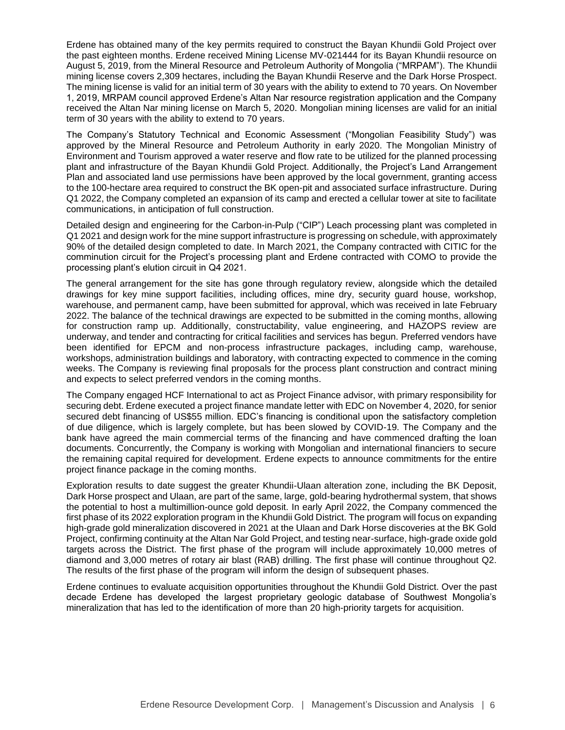Erdene has obtained many of the key permits required to construct the Bayan Khundii Gold Project over the past eighteen months. Erdene received Mining License MV-021444 for its Bayan Khundii resource on August 5, 2019, from the Mineral Resource and Petroleum Authority of Mongolia ("MRPAM"). The Khundii mining license covers 2,309 hectares, including the Bayan Khundii Reserve and the Dark Horse Prospect. The mining license is valid for an initial term of 30 years with the ability to extend to 70 years. On November 1, 2019, MRPAM council approved Erdene's Altan Nar resource registration application and the Company received the Altan Nar mining license on March 5, 2020. Mongolian mining licenses are valid for an initial term of 30 years with the ability to extend to 70 years.

The Company's Statutory Technical and Economic Assessment ("Mongolian Feasibility Study") was approved by the Mineral Resource and Petroleum Authority in early 2020. The Mongolian Ministry of Environment and Tourism approved a water reserve and flow rate to be utilized for the planned processing plant and infrastructure of the Bayan Khundii Gold Project. Additionally, the Project's Land Arrangement Plan and associated land use permissions have been approved by the local government, granting access to the 100-hectare area required to construct the BK open-pit and associated surface infrastructure. During Q1 2022, the Company completed an expansion of its camp and erected a cellular tower at site to facilitate communications, in anticipation of full construction.

Detailed design and engineering for the Carbon-in-Pulp ("CIP") Leach processing plant was completed in Q1 2021 and design work for the mine support infrastructure is progressing on schedule, with approximately 90% of the detailed design completed to date. In March 2021, the Company contracted with CITIC for the comminution circuit for the Project's processing plant and Erdene contracted with COMO to provide the processing plant's elution circuit in Q4 2021.

The general arrangement for the site has gone through regulatory review, alongside which the detailed drawings for key mine support facilities, including offices, mine dry, security guard house, workshop, warehouse, and permanent camp, have been submitted for approval, which was received in late February 2022. The balance of the technical drawings are expected to be submitted in the coming months, allowing for construction ramp up. Additionally, constructability, value engineering, and HAZOPS review are underway, and tender and contracting for critical facilities and services has begun. Preferred vendors have been identified for EPCM and non-process infrastructure packages, including camp, warehouse, workshops, administration buildings and laboratory, with contracting expected to commence in the coming weeks. The Company is reviewing final proposals for the process plant construction and contract mining and expects to select preferred vendors in the coming months.

The Company engaged HCF International to act as Project Finance advisor, with primary responsibility for securing debt. Erdene executed a project finance mandate letter with EDC on November 4, 2020, for senior secured debt financing of US\$55 million. EDC's financing is conditional upon the satisfactory completion of due diligence, which is largely complete, but has been slowed by COVID-19. The Company and the bank have agreed the main commercial terms of the financing and have commenced drafting the loan documents. Concurrently, the Company is working with Mongolian and international financiers to secure the remaining capital required for development. Erdene expects to announce commitments for the entire project finance package in the coming months.

Exploration results to date suggest the greater Khundii-Ulaan alteration zone, including the BK Deposit, Dark Horse prospect and Ulaan, are part of the same, large, gold-bearing hydrothermal system, that shows the potential to host a multimillion-ounce gold deposit. In early April 2022, the Company commenced the first phase of its 2022 exploration program in the Khundii Gold District. The program will focus on expanding high-grade gold mineralization discovered in 2021 at the Ulaan and Dark Horse discoveries at the BK Gold Project, confirming continuity at the Altan Nar Gold Project, and testing near-surface, high-grade oxide gold targets across the District. The first phase of the program will include approximately 10,000 metres of diamond and 3,000 metres of rotary air blast (RAB) drilling. The first phase will continue throughout Q2. The results of the first phase of the program will inform the design of subsequent phases.

Erdene continues to evaluate acquisition opportunities throughout the Khundii Gold District. Over the past decade Erdene has developed the largest proprietary geologic database of Southwest Mongolia's mineralization that has led to the identification of more than 20 high-priority targets for acquisition.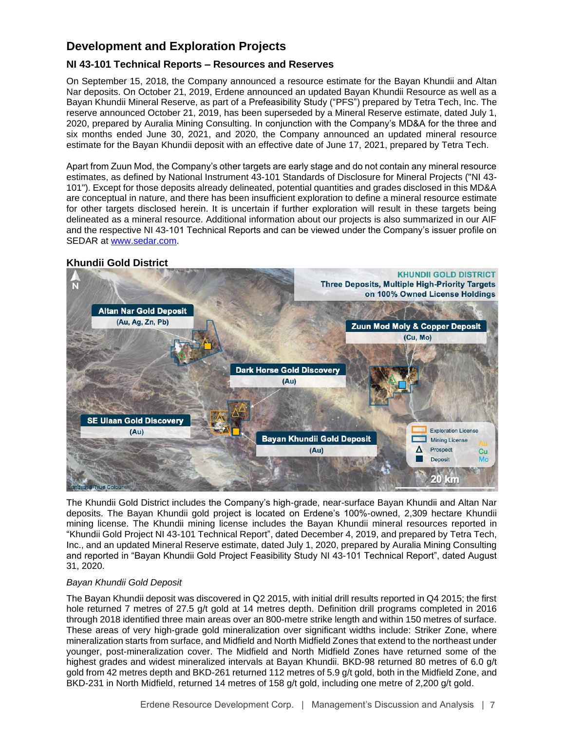# **Development and Exploration Projects**

# **NI 43-101 Technical Reports – Resources and Reserves**

On September 15, 2018, the Company announced a resource estimate for the Bayan Khundii and Altan Nar deposits. On October 21, 2019, Erdene announced an updated Bayan Khundii Resource as well as a Bayan Khundii Mineral Reserve, as part of a Prefeasibility Study ("PFS") prepared by Tetra Tech, Inc. The reserve announced October 21, 2019, has been superseded by a Mineral Reserve estimate, dated July 1, 2020, prepared by Auralia Mining Consulting. In conjunction with the Company's MD&A for the three and six months ended June 30, 2021, and 2020, the Company announced an updated mineral resource estimate for the Bayan Khundii deposit with an effective date of June 17, 2021, prepared by Tetra Tech.

Apart from Zuun Mod, the Company's other targets are early stage and do not contain any mineral resource estimates, as defined by National Instrument 43-101 Standards of Disclosure for Mineral Projects ("NI 43- 101"). Except for those deposits already delineated, potential quantities and grades disclosed in this MD&A are conceptual in nature, and there has been insufficient exploration to define a mineral resource estimate for other targets disclosed herein. It is uncertain if further exploration will result in these targets being delineated as a mineral resource. Additional information about our projects is also summarized in our AIF and the respective NI 43-101 Technical Reports and can be viewed under the Company's issuer profile on SEDAR at [www.sedar.com.](http://www.sedar.com/)

# **Khundii Gold District**



The Khundii Gold District includes the Company's high-grade, near-surface Bayan Khundii and Altan Nar deposits. The Bayan Khundii gold project is located on Erdene's 100%-owned, 2,309 hectare Khundii mining license. The Khundii mining license includes the Bayan Khundii mineral resources reported in "Khundii Gold Project NI 43-101 Technical Report", dated December 4, 2019, and prepared by Tetra Tech, Inc., and an updated Mineral Reserve estimate, dated July 1, 2020, prepared by Auralia Mining Consulting and reported in "Bayan Khundii Gold Project Feasibility Study NI 43-101 Technical Report", dated August 31, 2020.

# *Bayan Khundii Gold Deposit*

The Bayan Khundii deposit was discovered in Q2 2015, with initial drill results reported in Q4 2015; the first hole returned 7 metres of 27.5 g/t gold at 14 metres depth. Definition drill programs completed in 2016 through 2018 identified three main areas over an 800-metre strike length and within 150 metres of surface. These areas of very high-grade gold mineralization over significant widths include: Striker Zone, where mineralization starts from surface, and Midfield and North Midfield Zones that extend to the northeast under younger, post-mineralization cover. The Midfield and North Midfield Zones have returned some of the highest grades and widest mineralized intervals at Bayan Khundii. BKD-98 returned 80 metres of 6.0 g/t gold from 42 metres depth and BKD-261 returned 112 metres of 5.9 g/t gold, both in the Midfield Zone, and BKD-231 in North Midfield, returned 14 metres of 158 g/t gold, including one metre of 2,200 g/t gold.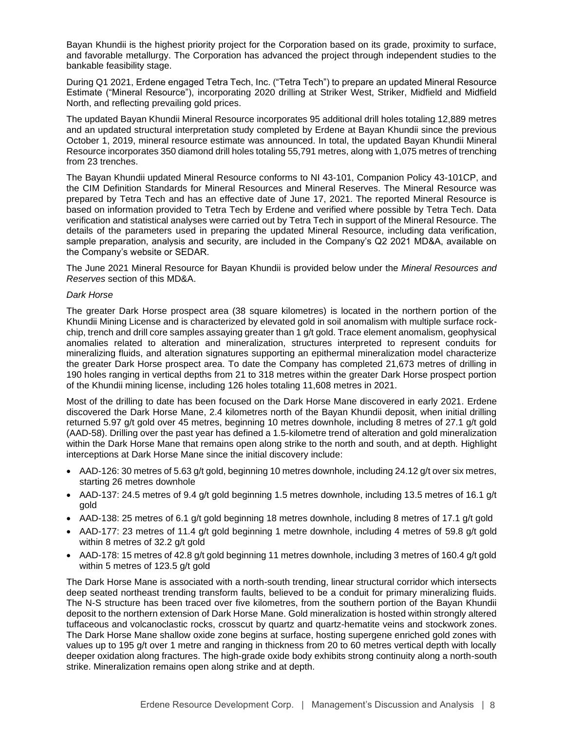Bayan Khundii is the highest priority project for the Corporation based on its grade, proximity to surface, and favorable metallurgy. The Corporation has advanced the project through independent studies to the bankable feasibility stage.

During Q1 2021, Erdene engaged Tetra Tech, Inc. ("Tetra Tech") to prepare an updated Mineral Resource Estimate ("Mineral Resource"), incorporating 2020 drilling at Striker West, Striker, Midfield and Midfield North, and reflecting prevailing gold prices.

The updated Bayan Khundii Mineral Resource incorporates 95 additional drill holes totaling 12,889 metres and an updated structural interpretation study completed by Erdene at Bayan Khundii since the previous October 1, 2019, mineral resource estimate was announced. In total, the updated Bayan Khundii Mineral Resource incorporates 350 diamond drill holes totaling 55,791 metres, along with 1,075 metres of trenching from 23 trenches.

The Bayan Khundii updated Mineral Resource conforms to NI 43-101, Companion Policy 43-101CP, and the CIM Definition Standards for Mineral Resources and Mineral Reserves. The Mineral Resource was prepared by Tetra Tech and has an effective date of June 17, 2021. The reported Mineral Resource is based on information provided to Tetra Tech by Erdene and verified where possible by Tetra Tech. Data verification and statistical analyses were carried out by Tetra Tech in support of the Mineral Resource. The details of the parameters used in preparing the updated Mineral Resource, including data verification, sample preparation, analysis and security, are included in the Company's Q2 2021 MD&A, available on the Company's website or SEDAR.

The June 2021 Mineral Resource for Bayan Khundii is provided below under the *Mineral Resources and Reserves* section of this MD&A.

#### *Dark Horse*

The greater Dark Horse prospect area (38 square kilometres) is located in the northern portion of the Khundii Mining License and is characterized by elevated gold in soil anomalism with multiple surface rockchip, trench and drill core samples assaying greater than 1 g/t gold. Trace element anomalism, geophysical anomalies related to alteration and mineralization, structures interpreted to represent conduits for mineralizing fluids, and alteration signatures supporting an epithermal mineralization model characterize the greater Dark Horse prospect area. To date the Company has completed 21,673 metres of drilling in 190 holes ranging in vertical depths from 21 to 318 metres within the greater Dark Horse prospect portion of the Khundii mining license, including 126 holes totaling 11,608 metres in 2021.

Most of the drilling to date has been focused on the Dark Horse Mane discovered in early 2021. Erdene discovered the Dark Horse Mane, 2.4 kilometres north of the Bayan Khundii deposit, when initial drilling returned 5.97 g/t gold over 45 metres, beginning 10 metres downhole, including 8 metres of 27.1 g/t gold (AAD-58). Drilling over the past year has defined a 1.5-kilometre trend of alteration and gold mineralization within the Dark Horse Mane that remains open along strike to the north and south, and at depth. Highlight interceptions at Dark Horse Mane since the initial discovery include:

- AAD-126: 30 metres of 5.63 g/t gold, beginning 10 metres downhole, including 24.12 g/t over six metres, starting 26 metres downhole
- AAD-137: 24.5 metres of 9.4  $q/t$  gold beginning 1.5 metres downhole, including 13.5 metres of 16.1  $q/t$ gold
- AAD-138: 25 metres of 6.1 g/t gold beginning 18 metres downhole, including 8 metres of 17.1 g/t gold
- AAD-177: 23 metres of 11.4 g/t gold beginning 1 metre downhole, including 4 metres of 59.8 g/t gold within 8 metres of 32.2 g/t gold
- AAD-178: 15 metres of 42.8 g/t gold beginning 11 metres downhole, including 3 metres of 160.4 g/t gold within 5 metres of 123.5 g/t gold

The Dark Horse Mane is associated with a north-south trending, linear structural corridor which intersects deep seated northeast trending transform faults, believed to be a conduit for primary mineralizing fluids. The N-S structure has been traced over five kilometres, from the southern portion of the Bayan Khundii deposit to the northern extension of Dark Horse Mane. Gold mineralization is hosted within strongly altered tuffaceous and volcanoclastic rocks, crosscut by quartz and quartz-hematite veins and stockwork zones. The Dark Horse Mane shallow oxide zone begins at surface, hosting supergene enriched gold zones with values up to 195 g/t over 1 metre and ranging in thickness from 20 to 60 metres vertical depth with locally deeper oxidation along fractures. The high-grade oxide body exhibits strong continuity along a north-south strike. Mineralization remains open along strike and at depth.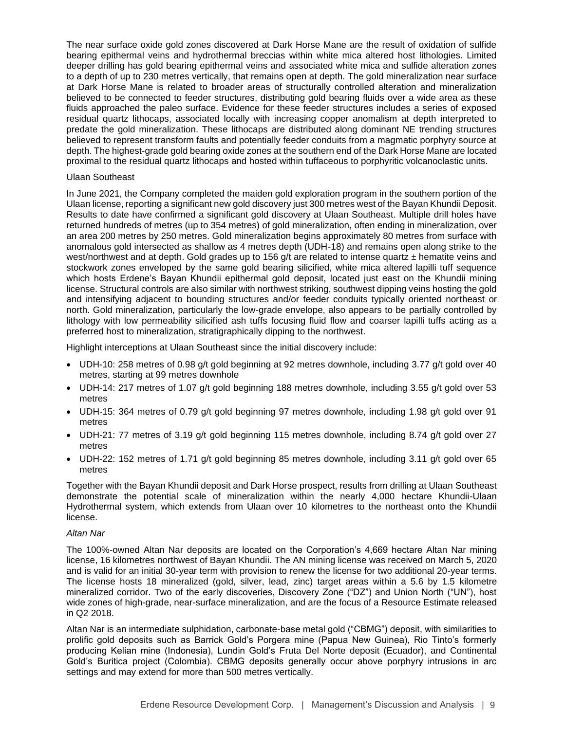The near surface oxide gold zones discovered at Dark Horse Mane are the result of oxidation of sulfide bearing epithermal veins and hydrothermal breccias within white mica altered host lithologies. Limited deeper drilling has gold bearing epithermal veins and associated white mica and sulfide alteration zones to a depth of up to 230 metres vertically, that remains open at depth. The gold mineralization near surface at Dark Horse Mane is related to broader areas of structurally controlled alteration and mineralization believed to be connected to feeder structures, distributing gold bearing fluids over a wide area as these fluids approached the paleo surface. Evidence for these feeder structures includes a series of exposed residual quartz lithocaps, associated locally with increasing copper anomalism at depth interpreted to predate the gold mineralization. These lithocaps are distributed along dominant NE trending structures believed to represent transform faults and potentially feeder conduits from a magmatic porphyry source at depth. The highest-grade gold bearing oxide zones at the southern end of the Dark Horse Mane are located proximal to the residual quartz lithocaps and hosted within tuffaceous to porphyritic volcanoclastic units.

#### Ulaan Southeast

In June 2021, the Company completed the maiden gold exploration program in the southern portion of the Ulaan license, reporting a significant new gold discovery just 300 metres west of the Bayan Khundii Deposit. Results to date have confirmed a significant gold discovery at Ulaan Southeast. Multiple drill holes have returned hundreds of metres (up to 354 metres) of gold mineralization, often ending in mineralization, over an area 200 metres by 250 metres. Gold mineralization begins approximately 80 metres from surface with anomalous gold intersected as shallow as 4 metres depth (UDH-18) and remains open along strike to the west/northwest and at depth. Gold grades up to 156 g/t are related to intense quartz ± hematite veins and stockwork zones enveloped by the same gold bearing silicified, white mica altered lapilli tuff sequence which hosts Erdene's Bayan Khundii epithermal gold deposit, located just east on the Khundii mining license. Structural controls are also similar with northwest striking, southwest dipping veins hosting the gold and intensifying adjacent to bounding structures and/or feeder conduits typically oriented northeast or north. Gold mineralization, particularly the low-grade envelope, also appears to be partially controlled by lithology with low permeability silicified ash tuffs focusing fluid flow and coarser lapilli tuffs acting as a preferred host to mineralization, stratigraphically dipping to the northwest.

Highlight interceptions at Ulaan Southeast since the initial discovery include:

- UDH-10: 258 metres of 0.98 g/t gold beginning at 92 metres downhole, including 3.77 g/t gold over 40 metres, starting at 99 metres downhole
- UDH-14: 217 metres of 1.07 g/t gold beginning 188 metres downhole, including 3.55 g/t gold over 53 metres
- UDH-15: 364 metres of 0.79 g/t gold beginning 97 metres downhole, including 1.98 g/t gold over 91 metres
- UDH-21: 77 metres of 3.19 g/t gold beginning 115 metres downhole, including 8.74 g/t gold over 27 metres
- UDH-22: 152 metres of 1.71 g/t gold beginning 85 metres downhole, including 3.11 g/t gold over 65 metres

Together with the Bayan Khundii deposit and Dark Horse prospect, results from drilling at Ulaan Southeast demonstrate the potential scale of mineralization within the nearly 4,000 hectare Khundii-Ulaan Hydrothermal system, which extends from Ulaan over 10 kilometres to the northeast onto the Khundii license.

#### *Altan Nar*

The 100%-owned Altan Nar deposits are located on the Corporation's 4,669 hectare Altan Nar mining license, 16 kilometres northwest of Bayan Khundii. The AN mining license was received on March 5, 2020 and is valid for an initial 30-year term with provision to renew the license for two additional 20-year terms. The license hosts 18 mineralized (gold, silver, lead, zinc) target areas within a 5.6 by 1.5 kilometre mineralized corridor. Two of the early discoveries, Discovery Zone ("DZ") and Union North ("UN"), host wide zones of high-grade, near-surface mineralization, and are the focus of a Resource Estimate released in Q2 2018.

Altan Nar is an intermediate sulphidation, carbonate-base metal gold ("CBMG") deposit, with similarities to prolific gold deposits such as Barrick Gold's Porgera mine (Papua New Guinea), Rio Tinto's formerly producing Kelian mine (Indonesia), Lundin Gold's Fruta Del Norte deposit (Ecuador), and Continental Gold's Buritica project (Colombia). CBMG deposits generally occur above porphyry intrusions in arc settings and may extend for more than 500 metres vertically.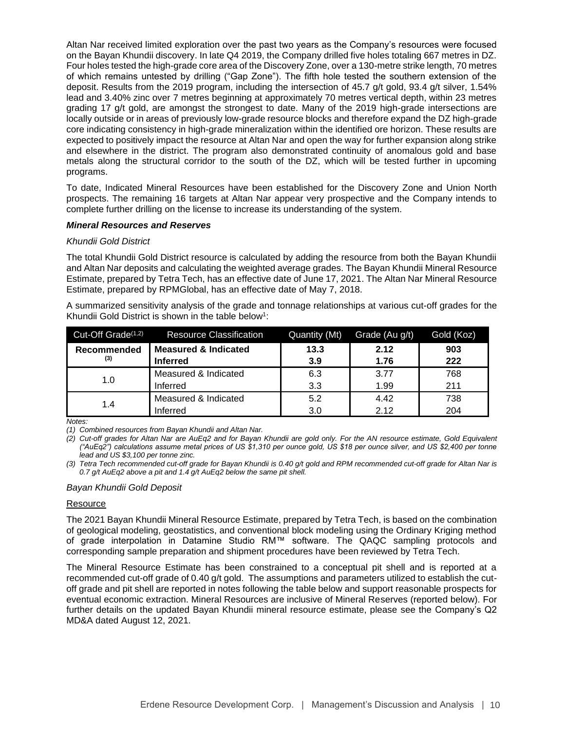Altan Nar received limited exploration over the past two years as the Company's resources were focused on the Bayan Khundii discovery. In late Q4 2019, the Company drilled five holes totaling 667 metres in DZ. Four holes tested the high-grade core area of the Discovery Zone, over a 130-metre strike length, 70 metres of which remains untested by drilling ("Gap Zone"). The fifth hole tested the southern extension of the deposit. Results from the 2019 program, including the intersection of 45.7 g/t gold, 93.4 g/t silver, 1.54% lead and 3.40% zinc over 7 metres beginning at approximately 70 metres vertical depth, within 23 metres grading 17 g/t gold, are amongst the strongest to date. Many of the 2019 high-grade intersections are locally outside or in areas of previously low-grade resource blocks and therefore expand the DZ high-grade core indicating consistency in high-grade mineralization within the identified ore horizon. These results are expected to positively impact the resource at Altan Nar and open the way for further expansion along strike and elsewhere in the district. The program also demonstrated continuity of anomalous gold and base metals along the structural corridor to the south of the DZ, which will be tested further in upcoming programs.

To date, Indicated Mineral Resources have been established for the Discovery Zone and Union North prospects. The remaining 16 targets at Altan Nar appear very prospective and the Company intends to complete further drilling on the license to increase its understanding of the system.

#### *Mineral Resources and Reserves*

#### *Khundii Gold District*

The total Khundii Gold District resource is calculated by adding the resource from both the Bayan Khundii and Altan Nar deposits and calculating the weighted average grades. The Bayan Khundii Mineral Resource Estimate, prepared by Tetra Tech, has an effective date of June 17, 2021. The Altan Nar Mineral Resource Estimate, prepared by RPMGlobal, has an effective date of May 7, 2018.

A summarized sensitivity analysis of the grade and tonnage relationships at various cut-off grades for the Khundii Gold District is shown in the table below<sup>1</sup>:

| Cut-Off Grade <sup>(1,2)</sup> | <b>Resource Classification</b>  | Quantity (Mt) | Grade (Au g/t) | Gold (Koz) |
|--------------------------------|---------------------------------|---------------|----------------|------------|
| Recommended                    | <b>Measured &amp; Indicated</b> | 13.3          | 2.12           | 903        |
| (3)                            | <b>Inferred</b>                 | 3.9           | 1.76           | 222        |
| 1.0                            | Measured & Indicated            | 6.3           | 3.77           | 768        |
|                                | Inferred                        | 3.3           | 1.99           | 211        |
| 1.4                            | Measured & Indicated            | 5.2           | 4.42           | 738        |
|                                | Inferred                        | 3.0           | 2.12           | 204        |

*Notes:*

*(1) Combined resources from Bayan Khundii and Altan Nar.*

*(2) Cut-off grades for Altan Nar are AuEq2 and for Bayan Khundii are gold only. For the AN resource estimate, Gold Equivalent ("AuEq2") calculations assume metal prices of US \$1,310 per ounce gold, US \$18 per ounce silver, and US \$2,400 per tonne lead and US \$3,100 per tonne zinc.*

*(3) Tetra Tech recommended cut-off grade for Bayan Khundii is 0.40 g/t gold and RPM recommended cut-off grade for Altan Nar is 0.7 g/t AuEq2 above a pit and 1.4 g/t AuEq2 below the same pit shell.* 

#### *Bayan Khundii Gold Deposit*

#### Resource

The 2021 Bayan Khundii Mineral Resource Estimate, prepared by Tetra Tech, is based on the combination of geological modeling, geostatistics, and conventional block modeling using the Ordinary Kriging method of grade interpolation in Datamine Studio RM™ software. The QAQC sampling protocols and corresponding sample preparation and shipment procedures have been reviewed by Tetra Tech.

The Mineral Resource Estimate has been constrained to a conceptual pit shell and is reported at a recommended cut-off grade of 0.40 g/t gold. The assumptions and parameters utilized to establish the cutoff grade and pit shell are reported in notes following the table below and support reasonable prospects for eventual economic extraction. Mineral Resources are inclusive of Mineral Reserves (reported below). For further details on the updated Bayan Khundii mineral resource estimate, please see the Company's Q2 MD&A dated August 12, 2021.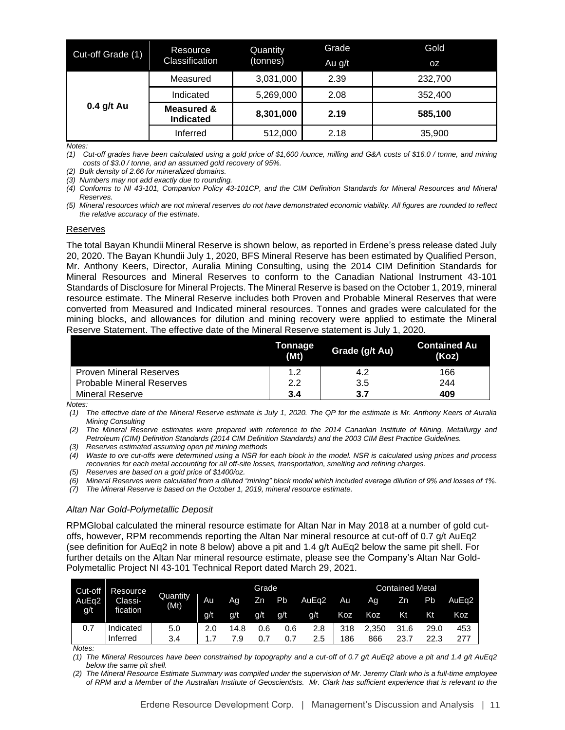| Cut-off Grade (1) | Resource                                  | Quantity  | Grade  | Gold      |
|-------------------|-------------------------------------------|-----------|--------|-----------|
|                   | Classification                            | (tonnes)  | Au g/t | <b>OZ</b> |
|                   | Measured                                  | 3,031,000 | 2.39   | 232,700   |
| $0.4$ g/t Au      | Indicated                                 | 5,269,000 | 2.08   | 352,400   |
|                   | <b>Measured &amp;</b><br><b>Indicated</b> | 8,301,000 | 2.19   | 585,100   |
|                   | Inferred                                  | 512,000   | 2.18   | 35,900    |

*Notes:*

*(1) Cut-off grades have been calculated using a gold price of \$1,600 /ounce, milling and G&A costs of \$16.0 / tonne, and mining costs of \$3.0 / tonne, and an assumed gold recovery of 95%.*

*(2) Bulk density of 2.66 for mineralized domains.*

*(3) Numbers may not add exactly due to rounding.*

*(4) Conforms to NI 43-101, Companion Policy 43-101CP, and the CIM Definition Standards for Mineral Resources and Mineral Reserves.* 

*(5) Mineral resources which are not mineral reserves do not have demonstrated economic viability. All figures are rounded to reflect the relative accuracy of the estimate.*

#### Reserves

The total Bayan Khundii Mineral Reserve is shown below, as reported in Erdene's press release dated July 20, 2020. The Bayan Khundii July 1, 2020, BFS Mineral Reserve has been estimated by Qualified Person, Mr. Anthony Keers, Director, Auralia Mining Consulting, using the 2014 CIM Definition Standards for Mineral Resources and Mineral Reserves to conform to the Canadian National Instrument 43-101 Standards of Disclosure for Mineral Projects. The Mineral Reserve is based on the October 1, 2019, mineral resource estimate. The Mineral Reserve includes both Proven and Probable Mineral Reserves that were converted from Measured and Indicated mineral resources. Tonnes and grades were calculated for the mining blocks, and allowances for dilution and mining recovery were applied to estimate the Mineral Reserve Statement. The effective date of the Mineral Reserve statement is July 1, 2020.

|                                  | Tonnage<br>(Mt) | Grade (g/t Au) | <b>Contained Au</b><br>(Koz) |
|----------------------------------|-----------------|----------------|------------------------------|
| <b>Proven Mineral Reserves</b>   | 1.2             | 4.2            | 166                          |
| <b>Probable Mineral Reserves</b> | 2.2             | 3.5            | 244                          |
| <b>Mineral Reserve</b>           | 3.4             | 3.7            | 409                          |

*Notes:*

*(1) The effective date of the Mineral Reserve estimate is July 1, 2020. The QP for the estimate is Mr. Anthony Keers of Auralia Mining Consulting*

*(2) The Mineral Reserve estimates were prepared with reference to the 2014 Canadian Institute of Mining, Metallurgy and Petroleum (CIM) Definition Standards (2014 CIM Definition Standards) and the 2003 CIM Best Practice Guidelines.*

*(3) Reserves estimated assuming open pit mining methods*

*(4) Waste to ore cut-offs were determined using a NSR for each block in the model. NSR is calculated using prices and process recoveries for each metal accounting for all off-site losses, transportation, smelting and refining charges.* 

*(5) Reserves are based on a gold price of \$1400/oz.*

*(6) Mineral Reserves were calculated from a diluted "mining" block model which included average dilution of 9% and losses of 1%.*

*(7) The Mineral Reserve is based on the October 1, 2019, mineral resource estimate.*

## *Altan Nar Gold-Polymetallic Deposit*

RPMGlobal calculated the mineral resource estimate for Altan Nar in May 2018 at a number of gold cutoffs, however, RPM recommends reporting the Altan Nar mineral resource at cut-off of 0.7 g/t AuEq2 (see definition for AuEq2 in note 8 below) above a pit and 1.4 g/t AuEq2 below the same pit shell. For further details on the Altan Nar mineral resource estimate, please see the Company's Altan Nar Gold-Polymetallic Project NI 43-101 Technical Report dated March 29, 2021.

| Cut-off | Resource  |                  |     |      | Grade          |     |       |      |       | <b>Contained Metal</b> |      |                   |
|---------|-----------|------------------|-----|------|----------------|-----|-------|------|-------|------------------------|------|-------------------|
| AuEg2   | Classi-   | Quantity<br>(Mt) | Au  | Ag   | Z <sub>n</sub> | Pb  | AuEq2 | Au I | Ag    | Zn                     | Pb   | AuEa <sub>2</sub> |
| g/t     | fication  |                  | g/t | g/t  | g/t            | g/t | g/t   | Koz  | Koz   | Kt                     | Kt   | Koz               |
| 0.7     | Indicated | 5.0              | 2.0 | 14.8 | 0.6            | 0.6 | 2.8   | 318  | 2.350 | 31.6                   | 29.0 | 453               |
|         | Inferred  | 3.4              |     | 7.9  |                | 0.7 | 2.5   | 186  | 866   | 23.7                   | 22.3 | 277               |

*Notes:*

*(1) The Mineral Resources have been constrained by topography and a cut-off of 0.7 g/t AuEq2 above a pit and 1.4 g/t AuEq2 below the same pit shell.*

*(2) The Mineral Resource Estimate Summary was compiled under the supervision of Mr. Jeremy Clark who is a full-time employee of RPM and a Member of the Australian Institute of Geoscientists. Mr. Clark has sufficient experience that is relevant to the*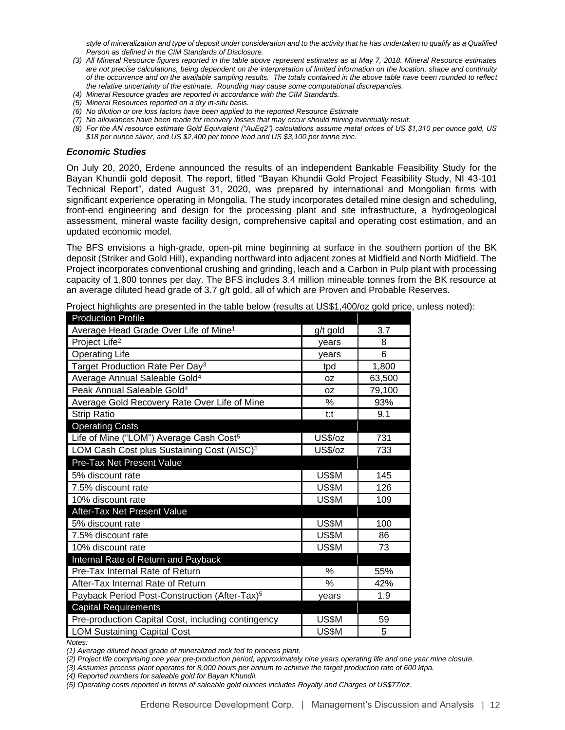*style of mineralization and type of deposit under consideration and to the activity that he has undertaken to qualify as a Qualified Person as defined in the CIM Standards of Disclosure.*

- *(3) All Mineral Resource figures reported in the table above represent estimates as at May 7, 2018. Mineral Resource estimates are not precise calculations, being dependent on the interpretation of limited information on the location, shape and continuity of the occurrence and on the available sampling results. The totals contained in the above table have been rounded to reflect the relative uncertainty of the estimate. Rounding may cause some computational discrepancies.*
- *(4) Mineral Resource grades are reported in accordance with the CIM Standards.*
- *(5) Mineral Resources reported on a dry in-situ basis.*
- *(6) No dilution or ore loss factors have been applied to the reported Resource Estimate*
- *(7) No allowances have been made for recovery losses that may occur should mining eventually result.*
- *(8) For the AN resource estimate Gold Equivalent ("AuEq2") calculations assume metal prices of US \$1,310 per ounce gold, US \$18 per ounce silver, and US \$2,400 per tonne lead and US \$3,100 per tonne zinc.*

#### *Economic Studies*

On July 20, 2020, Erdene announced the results of an independent Bankable Feasibility Study for the Bayan Khundii gold deposit. The report, titled "Bayan Khundii Gold Project Feasibility Study, NI 43-101 Technical Report", dated August 31, 2020, was prepared by international and Mongolian firms with significant experience operating in Mongolia. The study incorporates detailed mine design and scheduling, front-end engineering and design for the processing plant and site infrastructure, a hydrogeological assessment, mineral waste facility design, comprehensive capital and operating cost estimation, and an updated economic model.

The BFS envisions a high-grade, open-pit mine beginning at surface in the southern portion of the BK deposit (Striker and Gold Hill), expanding northward into adjacent zones at Midfield and North Midfield. The Project incorporates conventional crushing and grinding, leach and a Carbon in Pulp plant with processing capacity of 1,800 tonnes per day. The BFS includes 3.4 million mineable tonnes from the BK resource at an average diluted head grade of 3.7 g/t gold, all of which are Proven and Probable Reserves.

| <u>FIUUULIUI FIUIIIG</u>                                  |               |        |
|-----------------------------------------------------------|---------------|--------|
| Average Head Grade Over Life of Mine <sup>1</sup>         | g/t gold      | 3.7    |
| Project Life <sup>2</sup>                                 | years         | 8      |
| <b>Operating Life</b>                                     | years         | 6      |
| Target Production Rate Per Day <sup>3</sup>               | tpd           | 1,800  |
| Average Annual Saleable Gold <sup>4</sup>                 | 0Z            | 63,500 |
| Peak Annual Saleable Gold <sup>4</sup>                    | 0Z            | 79,100 |
| Average Gold Recovery Rate Over Life of Mine              | $\%$          | 93%    |
| <b>Strip Ratio</b>                                        | t:t           | 9.1    |
| <b>Operating Costs</b>                                    |               |        |
| Life of Mine ("LOM") Average Cash Cost <sup>5</sup>       | US\$/oz       | 731    |
| LOM Cash Cost plus Sustaining Cost (AISC) <sup>5</sup>    | US\$/oz       | 733    |
| Pre-Tax Net Present Value                                 |               |        |
| 5% discount rate                                          | US\$M         | 145    |
| 7.5% discount rate                                        | US\$M         | 126    |
| 10% discount rate                                         | US\$M         | 109    |
| After-Tax Net Present Value                               |               |        |
| 5% discount rate                                          | US\$M         | 100    |
| 7.5% discount rate                                        | US\$M         | 86     |
| 10% discount rate                                         | US\$M         | 73     |
| Internal Rate of Return and Payback                       |               |        |
| Pre-Tax Internal Rate of Return                           | $\frac{0}{0}$ | 55%    |
| After-Tax Internal Rate of Return                         | %             | 42%    |
| Payback Period Post-Construction (After-Tax) <sup>5</sup> | years         | 1.9    |
| <b>Capital Requirements</b>                               |               |        |
| Pre-production Capital Cost, including contingency        | US\$M         | 59     |
| <b>LOM Sustaining Capital Cost</b>                        | US\$M         | 5      |
|                                                           |               |        |

Project highlights are presented in the table below (results at US\$1,400/oz gold price, unless noted): Production Profile

*Notes:*

*(1) Average diluted head grade of mineralized rock fed to process plant.*

*(2) Project life comprising one year pre-production period, approximately nine years operating life and one year mine closure.*

*(3) Assumes process plant operates for 8,000 hours per annum to achieve the target production rate of 600 ktpa.*

*(4) Reported numbers for saleable gold for Bayan Khundii.*

*(5) Operating costs reported in terms of saleable gold ounces includes Royalty and Charges of US\$77/oz.*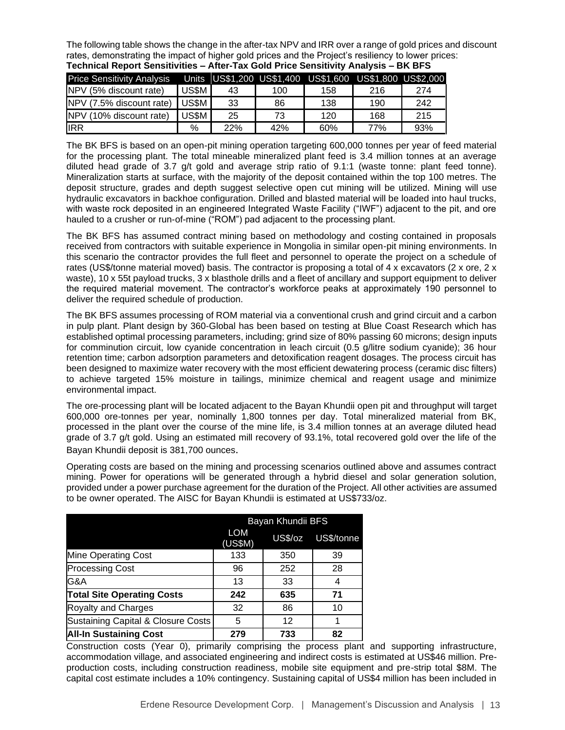The following table shows the change in the after-tax NPV and IRR over a range of gold prices and discount rates, demonstrating the impact of higher gold prices and the Project's resiliency to lower prices: **Technical Report Sensitivities – After-Tax Gold Price Sensitivity Analysis – BK BFS**

| <b>Price Sensitivity Analysis</b> |       |     |     | Units US\$1,200 US\$1,400 US\$1,600 US\$1,800 US\$2,000 |     |     |
|-----------------------------------|-------|-----|-----|---------------------------------------------------------|-----|-----|
| NPV (5% discount rate)            | US\$M | 43  | 100 | 158                                                     | 216 | 274 |
| NPV (7.5% discount rate)          | US\$M | 33  | 86  | 138                                                     | 190 | 242 |
| NPV (10% discount rate)           | US\$M | 25  | 73  | 120                                                     | 168 | 215 |
| <b>I</b> IRR                      | %     | 22% | 42% | 60%                                                     | 77% | 93% |

The BK BFS is based on an open-pit mining operation targeting 600,000 tonnes per year of feed material for the processing plant. The total mineable mineralized plant feed is 3.4 million tonnes at an average diluted head grade of 3.7 g/t gold and average strip ratio of 9.1:1 (waste tonne: plant feed tonne). Mineralization starts at surface, with the majority of the deposit contained within the top 100 metres. The deposit structure, grades and depth suggest selective open cut mining will be utilized. Mining will use hydraulic excavators in backhoe configuration. Drilled and blasted material will be loaded into haul trucks, with waste rock deposited in an engineered Integrated Waste Facility ("IWF") adjacent to the pit, and ore hauled to a crusher or run-of-mine ("ROM") pad adjacent to the processing plant.

The BK BFS has assumed contract mining based on methodology and costing contained in proposals received from contractors with suitable experience in Mongolia in similar open-pit mining environments. In this scenario the contractor provides the full fleet and personnel to operate the project on a schedule of rates (US\$/tonne material moved) basis. The contractor is proposing a total of 4 x excavators (2 x ore, 2 x waste), 10 x 55t payload trucks, 3 x blasthole drills and a fleet of ancillary and support equipment to deliver the required material movement. The contractor's workforce peaks at approximately 190 personnel to deliver the required schedule of production.

The BK BFS assumes processing of ROM material via a conventional crush and grind circuit and a carbon in pulp plant. Plant design by 360-Global has been based on testing at Blue Coast Research which has established optimal processing parameters, including; grind size of 80% passing 60 microns; design inputs for comminution circuit, low cyanide concentration in leach circuit (0.5 g/litre sodium cyanide); 36 hour retention time; carbon adsorption parameters and detoxification reagent dosages. The process circuit has been designed to maximize water recovery with the most efficient dewatering process (ceramic disc filters) to achieve targeted 15% moisture in tailings, minimize chemical and reagent usage and minimize environmental impact.

The ore-processing plant will be located adjacent to the Bayan Khundii open pit and throughput will target 600,000 ore-tonnes per year, nominally 1,800 tonnes per day. Total mineralized material from BK, processed in the plant over the course of the mine life, is 3.4 million tonnes at an average diluted head grade of 3.7 g/t gold. Using an estimated mill recovery of 93.1%, total recovered gold over the life of the Bayan Khundii deposit is 381,700 ounces.

Operating costs are based on the mining and processing scenarios outlined above and assumes contract mining. Power for operations will be generated through a hybrid diesel and solar generation solution, provided under a power purchase agreement for the duration of the Project. All other activities are assumed to be owner operated. The AISC for Bayan Khundii is estimated at US\$733/oz.

|                                    | Bayan Khundii BFS     |                |            |  |  |  |  |  |
|------------------------------------|-----------------------|----------------|------------|--|--|--|--|--|
|                                    | <b>LOM</b><br>(US\$M) | <b>US\$/oz</b> | US\$/tonne |  |  |  |  |  |
| <b>Mine Operating Cost</b>         | 133                   | 350            | 39         |  |  |  |  |  |
| <b>Processing Cost</b>             | 96                    | 252            | 28         |  |  |  |  |  |
| G&A                                | 13                    | 33             | 4          |  |  |  |  |  |
| <b>Total Site Operating Costs</b>  | 242                   | 635            | 71         |  |  |  |  |  |
| Royalty and Charges                | 32                    | 86             | 10         |  |  |  |  |  |
| Sustaining Capital & Closure Costs | 5                     | 12             |            |  |  |  |  |  |
| <b>All-In Sustaining Cost</b>      | 279                   | 733            | 82         |  |  |  |  |  |

Construction costs (Year 0), primarily comprising the process plant and supporting infrastructure, accommodation village, and associated engineering and indirect costs is estimated at US\$46 million. Preproduction costs, including construction readiness, mobile site equipment and pre-strip total \$8M. The capital cost estimate includes a 10% contingency. Sustaining capital of US\$4 million has been included in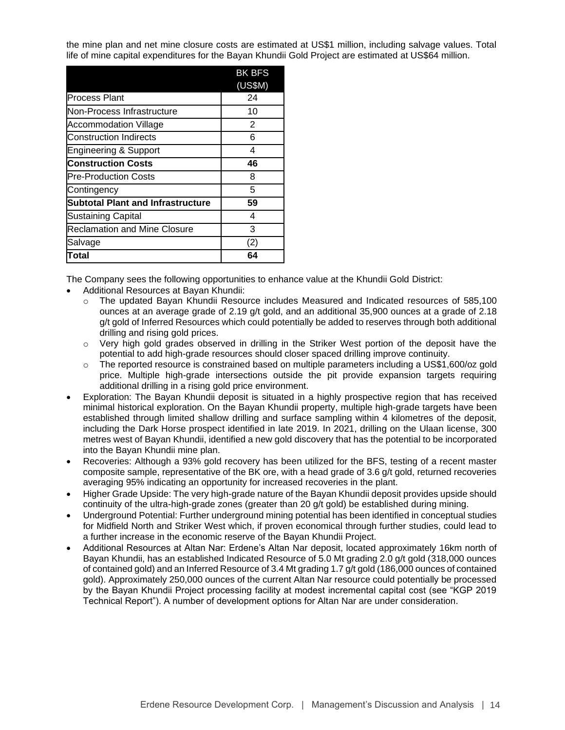the mine plan and net mine closure costs are estimated at US\$1 million, including salvage values. Total life of mine capital expenditures for the Bayan Khundii Gold Project are estimated at US\$64 million.

|                                          | <b>BK BFS</b> |
|------------------------------------------|---------------|
|                                          | (US\$M)       |
| <b>Process Plant</b>                     | 24            |
| Non-Process Infrastructure               | 10            |
| <b>Accommodation Village</b>             | 2             |
| <b>Construction Indirects</b>            | 6             |
| <b>Engineering &amp; Support</b>         | 4             |
| <b>Construction Costs</b>                | 46            |
| <b>Pre-Production Costs</b>              | 8             |
| Contingency                              | 5             |
| <b>Subtotal Plant and Infrastructure</b> | 59            |
| <b>Sustaining Capital</b>                | 4             |
| <b>Reclamation and Mine Closure</b>      | 3             |
| Salvage                                  | (2)           |
| Total                                    | 64            |

The Company sees the following opportunities to enhance value at the Khundii Gold District:

- Additional Resources at Bayan Khundii:
	- o The updated Bayan Khundii Resource includes Measured and Indicated resources of 585,100 ounces at an average grade of 2.19 g/t gold, and an additional 35,900 ounces at a grade of 2.18 g/t gold of Inferred Resources which could potentially be added to reserves through both additional drilling and rising gold prices.
	- $\circ$  Very high gold grades observed in drilling in the Striker West portion of the deposit have the potential to add high-grade resources should closer spaced drilling improve continuity.
	- $\circ$  The reported resource is constrained based on multiple parameters including a US\$1,600/oz gold price. Multiple high-grade intersections outside the pit provide expansion targets requiring additional drilling in a rising gold price environment.
- Exploration: The Bayan Khundii deposit is situated in a highly prospective region that has received minimal historical exploration. On the Bayan Khundii property, multiple high-grade targets have been established through limited shallow drilling and surface sampling within 4 kilometres of the deposit, including the Dark Horse prospect identified in late 2019. In 2021, drilling on the Ulaan license, 300 metres west of Bayan Khundii, identified a new gold discovery that has the potential to be incorporated into the Bayan Khundii mine plan.
- Recoveries: Although a 93% gold recovery has been utilized for the BFS, testing of a recent master composite sample, representative of the BK ore, with a head grade of 3.6 g/t gold, returned recoveries averaging 95% indicating an opportunity for increased recoveries in the plant.
- Higher Grade Upside: The very high-grade nature of the Bayan Khundii deposit provides upside should continuity of the ultra-high-grade zones (greater than 20 g/t gold) be established during mining.
- Underground Potential: Further underground mining potential has been identified in conceptual studies for Midfield North and Striker West which, if proven economical through further studies, could lead to a further increase in the economic reserve of the Bayan Khundii Project.
- Additional Resources at Altan Nar: Erdene's Altan Nar deposit, located approximately 16km north of Bayan Khundii, has an established Indicated Resource of 5.0 Mt grading 2.0 g/t gold (318,000 ounces of contained gold) and an Inferred Resource of 3.4 Mt grading 1.7 g/t gold (186,000 ounces of contained gold). Approximately 250,000 ounces of the current Altan Nar resource could potentially be processed by the Bayan Khundii Project processing facility at modest incremental capital cost (see "KGP 2019 Technical Report"). A number of development options for Altan Nar are under consideration.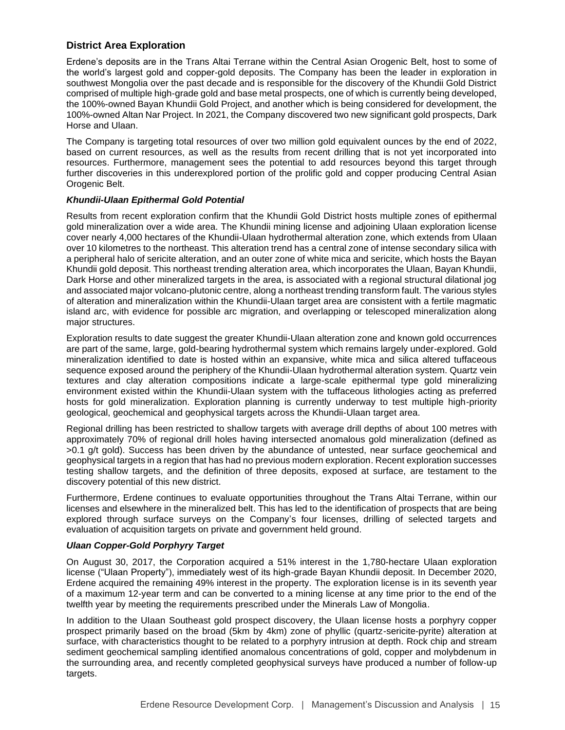# **District Area Exploration**

Erdene's deposits are in the Trans Altai Terrane within the Central Asian Orogenic Belt, host to some of the world's largest gold and copper-gold deposits. The Company has been the leader in exploration in southwest Mongolia over the past decade and is responsible for the discovery of the Khundii Gold District comprised of multiple high-grade gold and base metal prospects, one of which is currently being developed, the 100%-owned Bayan Khundii Gold Project, and another which is being considered for development, the 100%-owned Altan Nar Project. In 2021, the Company discovered two new significant gold prospects, Dark Horse and Ulaan.

The Company is targeting total resources of over two million gold equivalent ounces by the end of 2022, based on current resources, as well as the results from recent drilling that is not yet incorporated into resources. Furthermore, management sees the potential to add resources beyond this target through further discoveries in this underexplored portion of the prolific gold and copper producing Central Asian Orogenic Belt.

# *Khundii-Ulaan Epithermal Gold Potential*

Results from recent exploration confirm that the Khundii Gold District hosts multiple zones of epithermal gold mineralization over a wide area. The Khundii mining license and adjoining Ulaan exploration license cover nearly 4,000 hectares of the Khundii-Ulaan hydrothermal alteration zone, which extends from Ulaan over 10 kilometres to the northeast. This alteration trend has a central zone of intense secondary silica with a peripheral halo of sericite alteration, and an outer zone of white mica and sericite, which hosts the Bayan Khundii gold deposit. This northeast trending alteration area, which incorporates the Ulaan, Bayan Khundii, Dark Horse and other mineralized targets in the area, is associated with a regional structural dilational jog and associated major volcano-plutonic centre, along a northeast trending transform fault. The various styles of alteration and mineralization within the Khundii-Ulaan target area are consistent with a fertile magmatic island arc, with evidence for possible arc migration, and overlapping or telescoped mineralization along major structures.

Exploration results to date suggest the greater Khundii-Ulaan alteration zone and known gold occurrences are part of the same, large, gold-bearing hydrothermal system which remains largely under-explored. Gold mineralization identified to date is hosted within an expansive, white mica and silica altered tuffaceous sequence exposed around the periphery of the Khundii-Ulaan hydrothermal alteration system. Quartz vein textures and clay alteration compositions indicate a large-scale epithermal type gold mineralizing environment existed within the Khundii-Ulaan system with the tuffaceous lithologies acting as preferred hosts for gold mineralization. Exploration planning is currently underway to test multiple high-priority geological, geochemical and geophysical targets across the Khundii-Ulaan target area.

Regional drilling has been restricted to shallow targets with average drill depths of about 100 metres with approximately 70% of regional drill holes having intersected anomalous gold mineralization (defined as >0.1 g/t gold). Success has been driven by the abundance of untested, near surface geochemical and geophysical targets in a region that has had no previous modern exploration. Recent exploration successes testing shallow targets, and the definition of three deposits, exposed at surface, are testament to the discovery potential of this new district.

Furthermore, Erdene continues to evaluate opportunities throughout the Trans Altai Terrane, within our licenses and elsewhere in the mineralized belt. This has led to the identification of prospects that are being explored through surface surveys on the Company's four licenses, drilling of selected targets and evaluation of acquisition targets on private and government held ground.

# *Ulaan Copper-Gold Porphyry Target*

On August 30, 2017, the Corporation acquired a 51% interest in the 1,780-hectare Ulaan exploration license ("Ulaan Property"), immediately west of its high-grade Bayan Khundii deposit. In December 2020, Erdene acquired the remaining 49% interest in the property. The exploration license is in its seventh year of a maximum 12-year term and can be converted to a mining license at any time prior to the end of the twelfth year by meeting the requirements prescribed under the Minerals Law of Mongolia.

In addition to the UIaan Southeast gold prospect discovery, the Ulaan license hosts a porphyry copper prospect primarily based on the broad (5km by 4km) zone of phyllic (quartz-sericite-pyrite) alteration at surface, with characteristics thought to be related to a porphyry intrusion at depth. Rock chip and stream sediment geochemical sampling identified anomalous concentrations of gold, copper and molybdenum in the surrounding area, and recently completed geophysical surveys have produced a number of follow-up targets.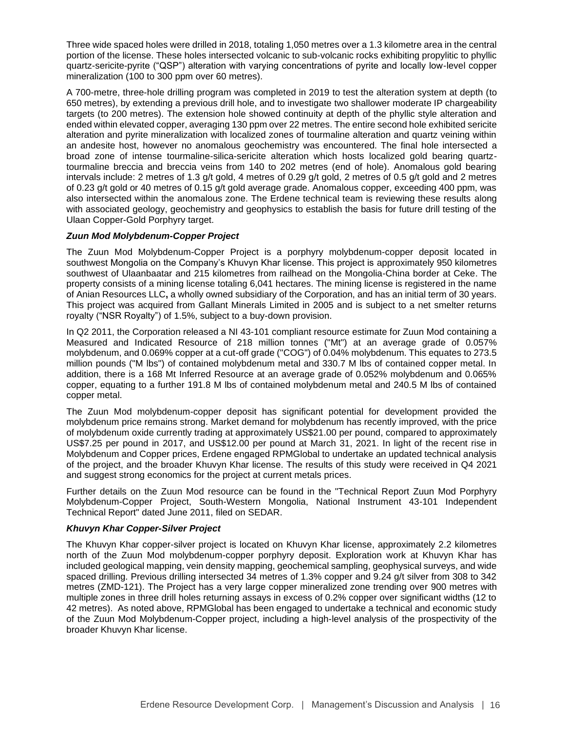Three wide spaced holes were drilled in 2018, totaling 1,050 metres over a 1.3 kilometre area in the central portion of the license. These holes intersected volcanic to sub-volcanic rocks exhibiting propylitic to phyllic quartz-sericite-pyrite ("QSP") alteration with varying concentrations of pyrite and locally low-level copper mineralization (100 to 300 ppm over 60 metres).

A 700-metre, three-hole drilling program was completed in 2019 to test the alteration system at depth (to 650 metres), by extending a previous drill hole, and to investigate two shallower moderate IP chargeability targets (to 200 metres). The extension hole showed continuity at depth of the phyllic style alteration and ended within elevated copper, averaging 130 ppm over 22 metres. The entire second hole exhibited sericite alteration and pyrite mineralization with localized zones of tourmaline alteration and quartz veining within an andesite host, however no anomalous geochemistry was encountered. The final hole intersected a broad zone of intense tourmaline-silica-sericite alteration which hosts localized gold bearing quartztourmaline breccia and breccia veins from 140 to 202 metres (end of hole). Anomalous gold bearing intervals include: 2 metres of 1.3 g/t gold, 4 metres of 0.29 g/t gold, 2 metres of 0.5 g/t gold and 2 metres of 0.23 g/t gold or 40 metres of 0.15 g/t gold average grade. Anomalous copper, exceeding 400 ppm, was also intersected within the anomalous zone. The Erdene technical team is reviewing these results along with associated geology, geochemistry and geophysics to establish the basis for future drill testing of the Ulaan Copper-Gold Porphyry target.

# *Zuun Mod Molybdenum-Copper Project*

The Zuun Mod Molybdenum-Copper Project is a porphyry molybdenum-copper deposit located in southwest Mongolia on the Company's Khuvyn Khar license. This project is approximately 950 kilometres southwest of Ulaanbaatar and 215 kilometres from railhead on the Mongolia-China border at Ceke. The property consists of a mining license totaling 6,041 hectares. The mining license is registered in the name of Anian Resources LLC**,** a wholly owned subsidiary of the Corporation, and has an initial term of 30 years. This project was acquired from Gallant Minerals Limited in 2005 and is subject to a net smelter returns royalty ("NSR Royalty") of 1.5%, subject to a buy-down provision.

In Q2 2011, the Corporation released a NI 43-101 compliant resource estimate for Zuun Mod containing a Measured and Indicated Resource of 218 million tonnes ("Mt") at an average grade of 0.057% molybdenum, and 0.069% copper at a cut-off grade ("COG") of 0.04% molybdenum. This equates to 273.5 million pounds ("M lbs") of contained molybdenum metal and 330.7 M lbs of contained copper metal. In addition, there is a 168 Mt Inferred Resource at an average grade of 0.052% molybdenum and 0.065% copper, equating to a further 191.8 M lbs of contained molybdenum metal and 240.5 M lbs of contained copper metal.

The Zuun Mod molybdenum-copper deposit has significant potential for development provided the molybdenum price remains strong. Market demand for molybdenum has recently improved, with the price of molybdenum oxide currently trading at approximately US\$21.00 per pound, compared to approximately US\$7.25 per pound in 2017, and US\$12.00 per pound at March 31, 2021. In light of the recent rise in Molybdenum and Copper prices, Erdene engaged RPMGlobal to undertake an updated technical analysis of the project, and the broader Khuvyn Khar license. The results of this study were received in Q4 2021 and suggest strong economics for the project at current metals prices.

Further details on the Zuun Mod resource can be found in the "Technical Report Zuun Mod Porphyry Molybdenum-Copper Project, South-Western Mongolia, National Instrument 43-101 Independent Technical Report" dated June 2011, filed on SEDAR.

## *Khuvyn Khar Copper-Silver Project*

The Khuvyn Khar copper-silver project is located on Khuvyn Khar license, approximately 2.2 kilometres north of the Zuun Mod molybdenum-copper porphyry deposit. Exploration work at Khuvyn Khar has included geological mapping, vein density mapping, geochemical sampling, geophysical surveys, and wide spaced drilling. Previous drilling intersected 34 metres of 1.3% copper and 9.24 g/t silver from 308 to 342 metres (ZMD-121). The Project has a very large copper mineralized zone trending over 900 metres with multiple zones in three drill holes returning assays in excess of 0.2% copper over significant widths (12 to 42 metres). As noted above, RPMGlobal has been engaged to undertake a technical and economic study of the Zuun Mod Molybdenum-Copper project, including a high-level analysis of the prospectivity of the broader Khuvyn Khar license.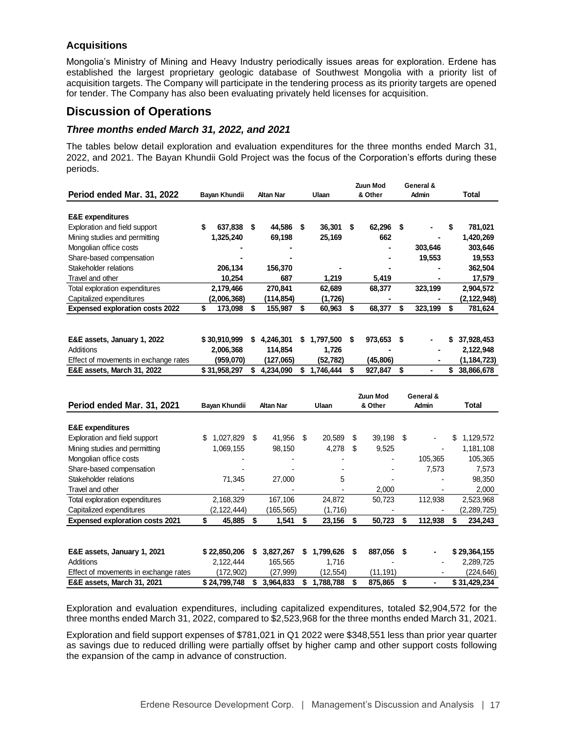# **Acquisitions**

Mongolia's Ministry of Mining and Heavy Industry periodically issues areas for exploration. Erdene has established the largest proprietary geologic database of Southwest Mongolia with a priority list of acquisition targets. The Company will participate in the tendering process as its priority targets are opened for tender. The Company has also been evaluating privately held licenses for acquisition.

# **Discussion of Operations**

# *Three months ended March 31, 2022, and 2021*

The tables below detail exploration and evaluation expenditures for the three months ended March 31, 2022, and 2021. The Bayan Khundii Gold Project was the focus of the Corporation's efforts during these periods.

|                                        |               |               |                  | Zuun Mod         |     | General & |    |                 |    |              |                  |
|----------------------------------------|---------------|---------------|------------------|------------------|-----|-----------|----|-----------------|----|--------------|------------------|
| Period ended Mar. 31, 2022             | Bayan Khundii |               | <b>Altan Nar</b> | Ulaan            |     | & Other   |    | Admin           |    | <b>Total</b> |                  |
|                                        |               |               |                  |                  |     |           |    |                 |    |              |                  |
| <b>E&amp;E</b> expenditures            |               |               |                  |                  |     |           |    |                 |    |              |                  |
| Exploration and field support          |               | 637,838       | \$               | 44,586           | Ŝ.  | 36,301    | \$ | 62.296          | \$ |              | \$<br>781,021    |
| Mining studies and permitting          |               | 1,325,240     |                  | 69,198           |     | 25,169    |    | 662             |    |              | 1,420,269        |
| Mongolian office costs                 |               |               |                  |                  |     |           |    |                 |    | 303,646      | 303,646          |
| Share-based compensation               |               |               |                  |                  |     |           |    |                 |    | 19,553       | 19,553           |
| Stakeholder relations                  |               | 206,134       |                  | 156,370          |     |           |    |                 |    |              | 362,504          |
| Travel and other                       |               | 10,254        |                  | 687              |     | 1,219     |    | 5,419           |    |              | 17,579           |
| Total exploration expenditures         |               | 2,179,466     |                  | 270,841          |     | 62,689    |    | 68,377          |    | 323,199      | 2,904,572        |
| Capitalized expenditures               |               | (2,006,368)   |                  | (114,854)        |     | (1,726)   |    |                 |    |              | (2,122,948)      |
| <b>Expensed exploration costs 2022</b> | \$            | 173,098       | \$               | 155,987          | \$  | 60,963    | \$ | 68,377          | \$ | 323,199      | \$<br>781,624    |
|                                        |               |               |                  |                  |     |           |    |                 |    |              |                  |
|                                        |               |               |                  |                  |     |           |    |                 |    |              |                  |
| E&E assets, January 1, 2022            |               | \$30,910,999  | S                | 4,246,301        |     | 1,797,500 | \$ | 973,653         | \$ |              | 37,928,453       |
| Additions                              |               | 2,006,368     |                  | 114,854          |     | 1,726     |    |                 |    |              | 2,122,948        |
| Effect of movements in exchange rates  |               | (959,070)     |                  | (127,065)        |     | (52,782)  |    | (45, 806)       |    |              | (1,184,723)      |
| E&E assets, March 31, 2022             |               | \$31,958,297  | \$               | 4,234,090        |     | 1,746,444 | \$ | 927,847         | \$ |              | \$<br>38,866,678 |
|                                        |               |               |                  |                  |     |           |    |                 |    |              |                  |
|                                        |               |               |                  |                  |     |           |    | <b>Zuun Mod</b> |    | General &    |                  |
| Period ended Mar. 31, 2021             |               | Bayan Khundii |                  | <b>Altan Nar</b> |     | Ulaan     |    | & Other         |    | Admin        | <b>Total</b>     |
|                                        |               |               |                  |                  |     |           |    |                 |    |              |                  |
| <b>E&amp;E</b> expenditures            |               |               |                  |                  |     |           |    |                 |    |              |                  |
| Exploration and field support          | \$            | 1,027,829     | \$               | 41,956           | -\$ | 20,589    | \$ | 39,198          | \$ |              | \$<br>1,129,572  |
| Mining studies and permitting          |               | 1,069,155     |                  | 98,150           |     | 4,278     | \$ | 9,525           |    |              | 1,181,108        |
| Mongolian office costs                 |               |               |                  |                  |     |           |    |                 |    | 105,365      | 105,365          |
| Share-based compensation               |               |               |                  |                  |     |           |    |                 |    | 7,573        | 7,573            |
| Stakeholder relations                  |               | 71,345        |                  | 27,000           |     | 5         |    |                 |    |              | 98,350           |
| Travel and other                       |               |               |                  |                  |     |           |    | 2,000           |    |              | 2,000            |
| Total exploration expenditures         |               | 2,168,329     |                  | 167,106          |     | 24,872    |    | 50,723          |    | 112,938      | 2,523,968        |
| Capitalized expenditures               |               | (2,122,444)   |                  | (165, 565)       |     | (1.716)   |    |                 |    |              | (2, 289, 725)    |

| E&E assets, January 1, 2021           | \$22,850,206 |           | 3.827.267 \$ 1.799.626 | 887.056  | ٠ | \$29,364,155 |
|---------------------------------------|--------------|-----------|------------------------|----------|---|--------------|
| Additions                             | 2.122.444    | 165.565   | 1.716                  | ۰        |   | 2.289.725    |
| Effect of movements in exchange rates | (172.902)    | (27.999)  | (12.554)               | (11.191) |   | (224, 646)   |
| <b>E&amp;E assets, March 31, 2021</b> | \$24,799,748 | 3.964.833 | 1.788.788              | 875.865  | ٠ | \$31,429,234 |

**Expensed exploration costs 2021 \$ 45,885 \$ 1,541 \$ 23,156 \$ 50,723 \$ 112,938 \$ 234,243**

Exploration and evaluation expenditures, including capitalized expenditures, totaled \$2,904,572 for the three months ended March 31, 2022, compared to \$2,523,968 for the three months ended March 31, 2021.

Exploration and field support expenses of \$781,021 in Q1 2022 were \$348,551 less than prior year quarter as savings due to reduced drilling were partially offset by higher camp and other support costs following the expansion of the camp in advance of construction.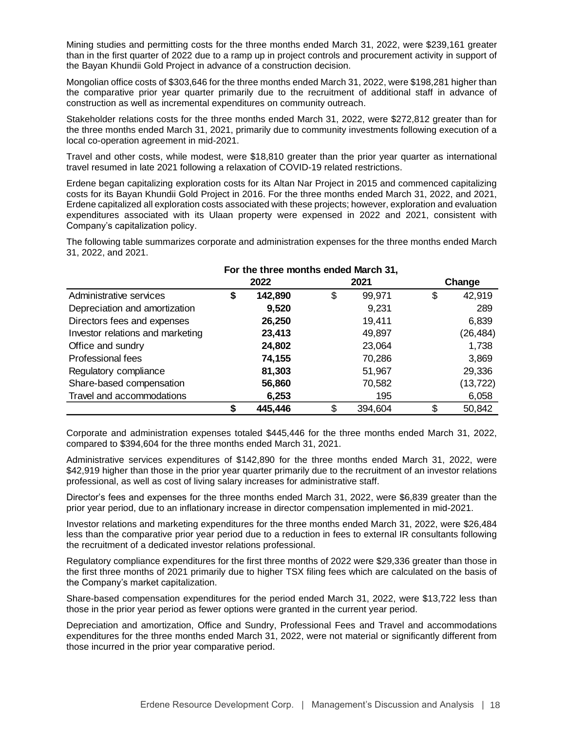Mining studies and permitting costs for the three months ended March 31, 2022, were \$239,161 greater than in the first quarter of 2022 due to a ramp up in project controls and procurement activity in support of the Bayan Khundii Gold Project in advance of a construction decision.

Mongolian office costs of \$303,646 for the three months ended March 31, 2022, were \$198,281 higher than the comparative prior year quarter primarily due to the recruitment of additional staff in advance of construction as well as incremental expenditures on community outreach.

Stakeholder relations costs for the three months ended March 31, 2022, were \$272,812 greater than for the three months ended March 31, 2021, primarily due to community investments following execution of a local co-operation agreement in mid-2021.

Travel and other costs, while modest, were \$18,810 greater than the prior year quarter as international travel resumed in late 2021 following a relaxation of COVID-19 related restrictions.

Erdene began capitalizing exploration costs for its Altan Nar Project in 2015 and commenced capitalizing costs for its Bayan Khundii Gold Project in 2016. For the three months ended March 31, 2022, and 2021, Erdene capitalized all exploration costs associated with these projects; however, exploration and evaluation expenditures associated with its Ulaan property were expensed in 2022 and 2021, consistent with Company's capitalization policy.

The following table summarizes corporate and administration expenses for the three months ended March 31, 2022, and 2021.

|                                  | For the three months ended March 31, |         |    |         |    |           |  |  |
|----------------------------------|--------------------------------------|---------|----|---------|----|-----------|--|--|
|                                  |                                      | 2022    |    | 2021    |    | Change    |  |  |
| Administrative services          | \$                                   | 142,890 | \$ | 99,971  | \$ | 42,919    |  |  |
| Depreciation and amortization    |                                      | 9,520   |    | 9,231   |    | 289       |  |  |
| Directors fees and expenses      |                                      | 26,250  |    | 19,411  |    | 6,839     |  |  |
| Investor relations and marketing |                                      | 23,413  |    | 49,897  |    | (26, 484) |  |  |
| Office and sundry                |                                      | 24,802  |    | 23,064  |    | 1,738     |  |  |
| Professional fees                |                                      | 74,155  |    | 70,286  |    | 3,869     |  |  |
| Regulatory compliance            |                                      | 81,303  |    | 51,967  |    | 29,336    |  |  |
| Share-based compensation         |                                      | 56,860  |    | 70,582  |    | (13, 722) |  |  |
| Travel and accommodations        |                                      | 6,253   |    | 195     |    | 6,058     |  |  |
|                                  |                                      | 445,446 | ደ  | 394,604 | \$ | 50,842    |  |  |

Corporate and administration expenses totaled \$445,446 for the three months ended March 31, 2022, compared to \$394,604 for the three months ended March 31, 2021.

Administrative services expenditures of \$142,890 for the three months ended March 31, 2022, were \$42,919 higher than those in the prior year quarter primarily due to the recruitment of an investor relations professional, as well as cost of living salary increases for administrative staff.

Director's fees and expenses for the three months ended March 31, 2022, were \$6,839 greater than the prior year period, due to an inflationary increase in director compensation implemented in mid-2021.

Investor relations and marketing expenditures for the three months ended March 31, 2022, were \$26,484 less than the comparative prior year period due to a reduction in fees to external IR consultants following the recruitment of a dedicated investor relations professional.

Regulatory compliance expenditures for the first three months of 2022 were \$29,336 greater than those in the first three months of 2021 primarily due to higher TSX filing fees which are calculated on the basis of the Company's market capitalization.

Share-based compensation expenditures for the period ended March 31, 2022, were \$13,722 less than those in the prior year period as fewer options were granted in the current year period.

Depreciation and amortization, Office and Sundry, Professional Fees and Travel and accommodations expenditures for the three months ended March 31, 2022, were not material or significantly different from those incurred in the prior year comparative period.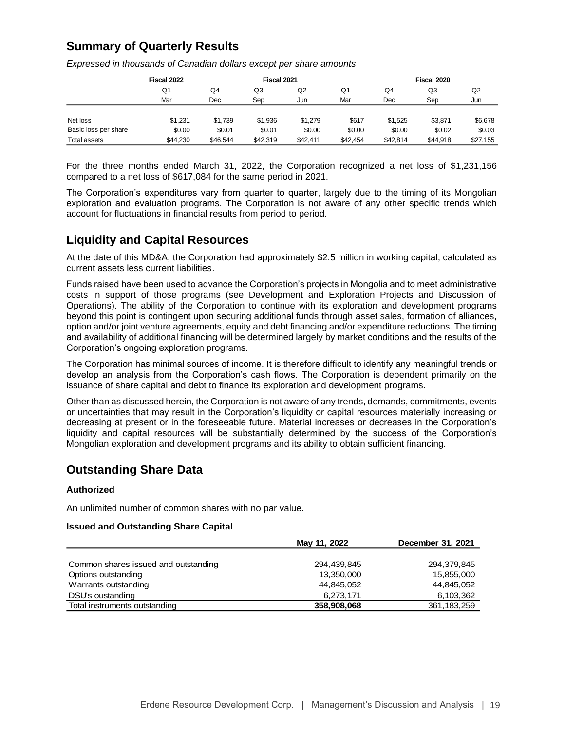# **Summary of Quarterly Results**

|                      | Fiscal 2022 |          | Fiscal 2021 |          |          | Fiscal 2020 |          |          |  |  |  |
|----------------------|-------------|----------|-------------|----------|----------|-------------|----------|----------|--|--|--|
|                      | Q1          | Q4       | Q3          |          | Q1       | Q4          | Q3       | Q2       |  |  |  |
|                      | Mar         | Dec      | Sep         | Jun      | Mar      | Dec         | Sep      | Jun      |  |  |  |
|                      |             |          |             |          |          |             |          |          |  |  |  |
| Net loss             | \$1.231     | \$1.739  | \$1.936     | \$1.279  | \$617    | \$1.525     | \$3,871  | \$6,678  |  |  |  |
| Basic loss per share | \$0.00      | \$0.01   | \$0.01      | \$0.00   | \$0.00   | \$0.00      | \$0.02   | \$0.03   |  |  |  |
| Total assets         | \$44,230    | \$46.544 | \$42,319    | \$42.411 | \$42,454 | \$42.814    | \$44.918 | \$27,155 |  |  |  |

*Expressed in thousands of Canadian dollars except per share amounts*

For the three months ended March 31, 2022, the Corporation recognized a net loss of \$1,231,156 compared to a net loss of \$617,084 for the same period in 2021.

The Corporation's expenditures vary from quarter to quarter, largely due to the timing of its Mongolian exploration and evaluation programs. The Corporation is not aware of any other specific trends which account for fluctuations in financial results from period to period.

# **Liquidity and Capital Resources**

At the date of this MD&A, the Corporation had approximately \$2.5 million in working capital, calculated as current assets less current liabilities.

Funds raised have been used to advance the Corporation's projects in Mongolia and to meet administrative costs in support of those programs (see Development and Exploration Projects and Discussion of Operations). The ability of the Corporation to continue with its exploration and development programs beyond this point is contingent upon securing additional funds through asset sales, formation of alliances, option and/or joint venture agreements, equity and debt financing and/or expenditure reductions. The timing and availability of additional financing will be determined largely by market conditions and the results of the Corporation's ongoing exploration programs.

The Corporation has minimal sources of income. It is therefore difficult to identify any meaningful trends or develop an analysis from the Corporation's cash flows. The Corporation is dependent primarily on the issuance of share capital and debt to finance its exploration and development programs.

Other than as discussed herein, the Corporation is not aware of any trends, demands, commitments, events or uncertainties that may result in the Corporation's liquidity or capital resources materially increasing or decreasing at present or in the foreseeable future. Material increases or decreases in the Corporation's liquidity and capital resources will be substantially determined by the success of the Corporation's Mongolian exploration and development programs and its ability to obtain sufficient financing.

# **Outstanding Share Data**

## **Authorized**

An unlimited number of common shares with no par value.

## **Issued and Outstanding Share Capital**

|                                      | May 11, 2022 | December 31, 2021 |
|--------------------------------------|--------------|-------------------|
|                                      |              |                   |
| Common shares issued and outstanding | 294,439,845  | 294,379,845       |
| Options outstanding                  | 13,350,000   | 15,855,000        |
| Warrants outstanding                 | 44,845,052   | 44,845,052        |
| DSU's oustanding                     | 6,273,171    | 6,103,362         |
| Total instruments outstanding        | 358,908,068  | 361, 183, 259     |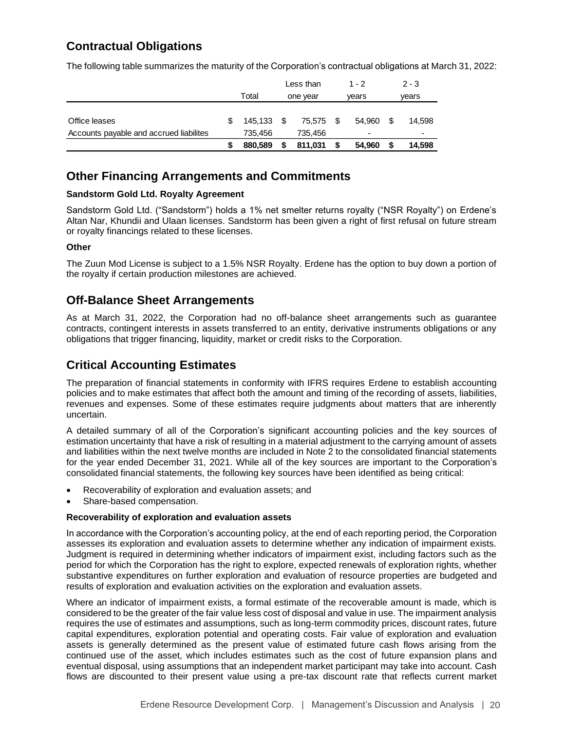# **Contractual Obligations**

The following table summarizes the maturity of the Corporation's contractual obligations at March 31, 2022:

|                                         |         |          | Less than |       | $1 - 2$                  | $2 - 3$ |
|-----------------------------------------|---------|----------|-----------|-------|--------------------------|---------|
|                                         | Total   | one year |           | vears |                          | vears   |
|                                         |         |          |           |       |                          |         |
| Office leases                           | 145.133 | - \$     | 75,575 \$ |       | 54.960                   | 14.598  |
| Accounts payable and accrued liabilites | 735.456 |          | 735.456   |       | $\overline{\phantom{0}}$ | ۰       |
|                                         | 880,589 |          | 811,031   | \$    | 54.960                   | 14.598  |

# **Other Financing Arrangements and Commitments**

# **Sandstorm Gold Ltd. Royalty Agreement**

Sandstorm Gold Ltd. ("Sandstorm") holds a 1% net smelter returns royalty ("NSR Royalty") on Erdene's Altan Nar, Khundii and Ulaan licenses. Sandstorm has been given a right of first refusal on future stream or royalty financings related to these licenses.

# **Other**

The Zuun Mod License is subject to a 1.5% NSR Royalty. Erdene has the option to buy down a portion of the royalty if certain production milestones are achieved.

# **Off-Balance Sheet Arrangements**

As at March 31, 2022, the Corporation had no off-balance sheet arrangements such as guarantee contracts, contingent interests in assets transferred to an entity, derivative instruments obligations or any obligations that trigger financing, liquidity, market or credit risks to the Corporation.

# **Critical Accounting Estimates**

The preparation of financial statements in conformity with IFRS requires Erdene to establish accounting policies and to make estimates that affect both the amount and timing of the recording of assets, liabilities, revenues and expenses. Some of these estimates require judgments about matters that are inherently uncertain.

A detailed summary of all of the Corporation's significant accounting policies and the key sources of estimation uncertainty that have a risk of resulting in a material adjustment to the carrying amount of assets and liabilities within the next twelve months are included in Note 2 to the consolidated financial statements for the year ended December 31, 2021. While all of the key sources are important to the Corporation's consolidated financial statements, the following key sources have been identified as being critical:

- Recoverability of exploration and evaluation assets; and
- Share-based compensation.

## **Recoverability of exploration and evaluation assets**

In accordance with the Corporation's accounting policy, at the end of each reporting period, the Corporation assesses its exploration and evaluation assets to determine whether any indication of impairment exists. Judgment is required in determining whether indicators of impairment exist, including factors such as the period for which the Corporation has the right to explore, expected renewals of exploration rights, whether substantive expenditures on further exploration and evaluation of resource properties are budgeted and results of exploration and evaluation activities on the exploration and evaluation assets.

Where an indicator of impairment exists, a formal estimate of the recoverable amount is made, which is considered to be the greater of the fair value less cost of disposal and value in use. The impairment analysis requires the use of estimates and assumptions, such as long-term commodity prices, discount rates, future capital expenditures, exploration potential and operating costs. Fair value of exploration and evaluation assets is generally determined as the present value of estimated future cash flows arising from the continued use of the asset, which includes estimates such as the cost of future expansion plans and eventual disposal, using assumptions that an independent market participant may take into account. Cash flows are discounted to their present value using a pre-tax discount rate that reflects current market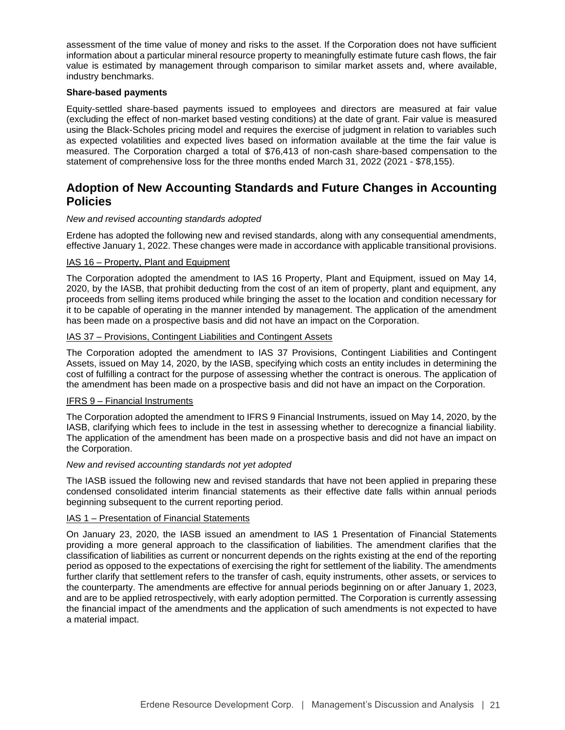assessment of the time value of money and risks to the asset. If the Corporation does not have sufficient information about a particular mineral resource property to meaningfully estimate future cash flows, the fair value is estimated by management through comparison to similar market assets and, where available, industry benchmarks.

#### **Share-based payments**

Equity-settled share-based payments issued to employees and directors are measured at fair value (excluding the effect of non-market based vesting conditions) at the date of grant. Fair value is measured using the Black-Scholes pricing model and requires the exercise of judgment in relation to variables such as expected volatilities and expected lives based on information available at the time the fair value is measured. The Corporation charged a total of \$76,413 of non-cash share-based compensation to the statement of comprehensive loss for the three months ended March 31, 2022 (2021 - \$78,155).

# **Adoption of New Accounting Standards and Future Changes in Accounting Policies**

#### *New and revised accounting standards adopted*

Erdene has adopted the following new and revised standards, along with any consequential amendments, effective January 1, 2022. These changes were made in accordance with applicable transitional provisions.

## IAS 16 – Property, Plant and Equipment

The Corporation adopted the amendment to IAS 16 Property, Plant and Equipment, issued on May 14, 2020, by the IASB, that prohibit deducting from the cost of an item of property, plant and equipment, any proceeds from selling items produced while bringing the asset to the location and condition necessary for it to be capable of operating in the manner intended by management. The application of the amendment has been made on a prospective basis and did not have an impact on the Corporation.

## IAS 37 – Provisions, Contingent Liabilities and Contingent Assets

The Corporation adopted the amendment to IAS 37 Provisions, Contingent Liabilities and Contingent Assets, issued on May 14, 2020, by the IASB, specifying which costs an entity includes in determining the cost of fulfilling a contract for the purpose of assessing whether the contract is onerous. The application of the amendment has been made on a prospective basis and did not have an impact on the Corporation.

#### IFRS 9 – Financial Instruments

The Corporation adopted the amendment to IFRS 9 Financial Instruments, issued on May 14, 2020, by the IASB, clarifying which fees to include in the test in assessing whether to derecognize a financial liability. The application of the amendment has been made on a prospective basis and did not have an impact on the Corporation.

#### *New and revised accounting standards not yet adopted*

The IASB issued the following new and revised standards that have not been applied in preparing these condensed consolidated interim financial statements as their effective date falls within annual periods beginning subsequent to the current reporting period.

#### IAS 1 – Presentation of Financial Statements

On January 23, 2020, the IASB issued an amendment to IAS 1 Presentation of Financial Statements providing a more general approach to the classification of liabilities. The amendment clarifies that the classification of liabilities as current or noncurrent depends on the rights existing at the end of the reporting period as opposed to the expectations of exercising the right for settlement of the liability. The amendments further clarify that settlement refers to the transfer of cash, equity instruments, other assets, or services to the counterparty. The amendments are effective for annual periods beginning on or after January 1, 2023, and are to be applied retrospectively, with early adoption permitted. The Corporation is currently assessing the financial impact of the amendments and the application of such amendments is not expected to have a material impact.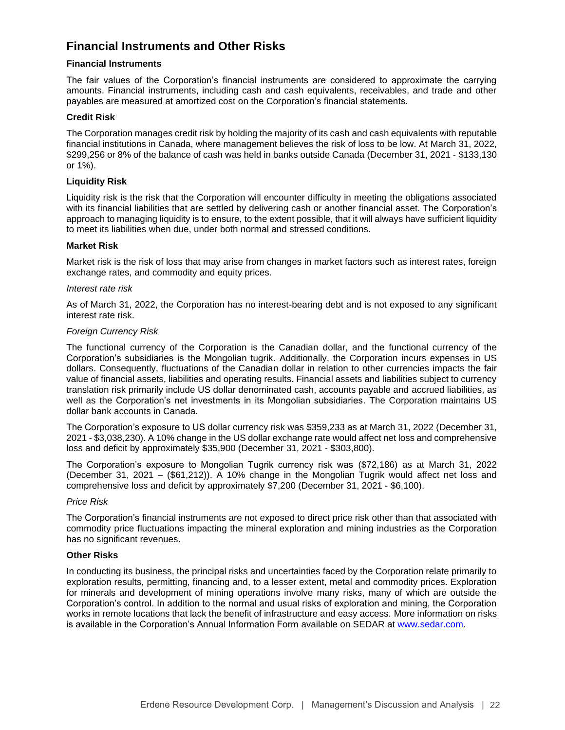# **Financial Instruments and Other Risks**

# **Financial Instruments**

The fair values of the Corporation's financial instruments are considered to approximate the carrying amounts. Financial instruments, including cash and cash equivalents, receivables, and trade and other payables are measured at amortized cost on the Corporation's financial statements.

# **Credit Risk**

The Corporation manages credit risk by holding the majority of its cash and cash equivalents with reputable financial institutions in Canada, where management believes the risk of loss to be low. At March 31, 2022, \$299,256 or 8% of the balance of cash was held in banks outside Canada (December 31, 2021 - \$133,130 or 1%).

## **Liquidity Risk**

Liquidity risk is the risk that the Corporation will encounter difficulty in meeting the obligations associated with its financial liabilities that are settled by delivering cash or another financial asset. The Corporation's approach to managing liquidity is to ensure, to the extent possible, that it will always have sufficient liquidity to meet its liabilities when due, under both normal and stressed conditions.

# **Market Risk**

Market risk is the risk of loss that may arise from changes in market factors such as interest rates, foreign exchange rates, and commodity and equity prices.

## *Interest rate risk*

As of March 31, 2022, the Corporation has no interest-bearing debt and is not exposed to any significant interest rate risk.

## *Foreign Currency Risk*

The functional currency of the Corporation is the Canadian dollar, and the functional currency of the Corporation's subsidiaries is the Mongolian tugrik. Additionally, the Corporation incurs expenses in US dollars. Consequently, fluctuations of the Canadian dollar in relation to other currencies impacts the fair value of financial assets, liabilities and operating results. Financial assets and liabilities subject to currency translation risk primarily include US dollar denominated cash, accounts payable and accrued liabilities, as well as the Corporation's net investments in its Mongolian subsidiaries. The Corporation maintains US dollar bank accounts in Canada.

The Corporation's exposure to US dollar currency risk was \$359,233 as at March 31, 2022 (December 31, 2021 - \$3,038,230). A 10% change in the US dollar exchange rate would affect net loss and comprehensive loss and deficit by approximately \$35,900 (December 31, 2021 - \$303,800).

The Corporation's exposure to Mongolian Tugrik currency risk was (\$72,186) as at March 31, 2022 (December 31, 2021 – (\$61,212)). A 10% change in the Mongolian Tugrik would affect net loss and comprehensive loss and deficit by approximately \$7,200 (December 31, 2021 - \$6,100).

## *Price Risk*

The Corporation's financial instruments are not exposed to direct price risk other than that associated with commodity price fluctuations impacting the mineral exploration and mining industries as the Corporation has no significant revenues.

# **Other Risks**

In conducting its business, the principal risks and uncertainties faced by the Corporation relate primarily to exploration results, permitting, financing and, to a lesser extent, metal and commodity prices. Exploration for minerals and development of mining operations involve many risks, many of which are outside the Corporation's control. In addition to the normal and usual risks of exploration and mining, the Corporation works in remote locations that lack the benefit of infrastructure and easy access. More information on risks is available in the Corporation's Annual Information Form available on SEDAR at [www.sedar.com.](http://www.sedar.com/)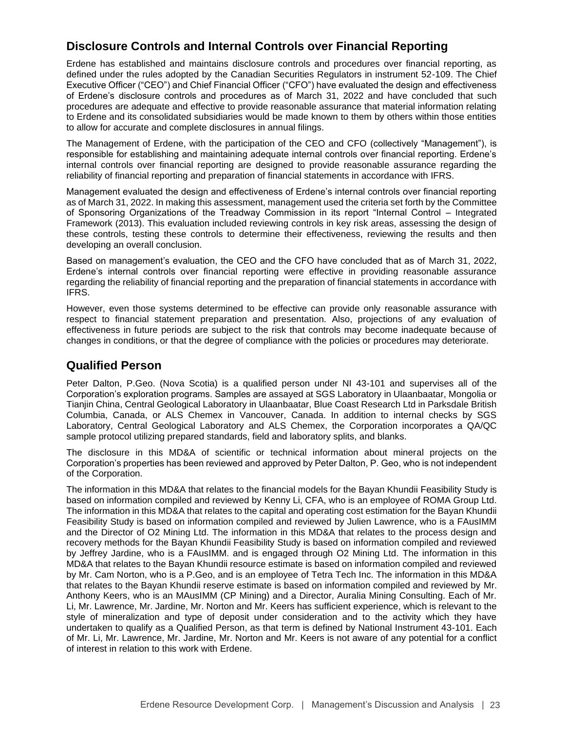# **Disclosure Controls and Internal Controls over Financial Reporting**

Erdene has established and maintains disclosure controls and procedures over financial reporting, as defined under the rules adopted by the Canadian Securities Regulators in instrument 52-109. The Chief Executive Officer ("CEO") and Chief Financial Officer ("CFO") have evaluated the design and effectiveness of Erdene's disclosure controls and procedures as of March 31, 2022 and have concluded that such procedures are adequate and effective to provide reasonable assurance that material information relating to Erdene and its consolidated subsidiaries would be made known to them by others within those entities to allow for accurate and complete disclosures in annual filings.

The Management of Erdene, with the participation of the CEO and CFO (collectively "Management"), is responsible for establishing and maintaining adequate internal controls over financial reporting. Erdene's internal controls over financial reporting are designed to provide reasonable assurance regarding the reliability of financial reporting and preparation of financial statements in accordance with IFRS.

Management evaluated the design and effectiveness of Erdene's internal controls over financial reporting as of March 31, 2022. In making this assessment, management used the criteria set forth by the Committee of Sponsoring Organizations of the Treadway Commission in its report "Internal Control – Integrated Framework (2013). This evaluation included reviewing controls in key risk areas, assessing the design of these controls, testing these controls to determine their effectiveness, reviewing the results and then developing an overall conclusion.

Based on management's evaluation, the CEO and the CFO have concluded that as of March 31, 2022, Erdene's internal controls over financial reporting were effective in providing reasonable assurance regarding the reliability of financial reporting and the preparation of financial statements in accordance with IFRS.

However, even those systems determined to be effective can provide only reasonable assurance with respect to financial statement preparation and presentation. Also, projections of any evaluation of effectiveness in future periods are subject to the risk that controls may become inadequate because of changes in conditions, or that the degree of compliance with the policies or procedures may deteriorate.

# **Qualified Person**

Peter Dalton, P.Geo. (Nova Scotia) is a qualified person under NI 43-101 and supervises all of the Corporation's exploration programs. Samples are assayed at SGS Laboratory in Ulaanbaatar, Mongolia or Tianjin China, Central Geological Laboratory in Ulaanbaatar, Blue Coast Research Ltd in Parksdale British Columbia, Canada, or ALS Chemex in Vancouver, Canada. In addition to internal checks by SGS Laboratory, Central Geological Laboratory and ALS Chemex, the Corporation incorporates a QA/QC sample protocol utilizing prepared standards, field and laboratory splits, and blanks.

The disclosure in this MD&A of scientific or technical information about mineral projects on the Corporation's properties has been reviewed and approved by Peter Dalton, P. Geo, who is not independent of the Corporation.

The information in this MD&A that relates to the financial models for the Bayan Khundii Feasibility Study is based on information compiled and reviewed by Kenny Li, CFA, who is an employee of ROMA Group Ltd. The information in this MD&A that relates to the capital and operating cost estimation for the Bayan Khundii Feasibility Study is based on information compiled and reviewed by Julien Lawrence, who is a FAusIMM and the Director of O2 Mining Ltd. The information in this MD&A that relates to the process design and recovery methods for the Bayan Khundii Feasibility Study is based on information compiled and reviewed by Jeffrey Jardine, who is a FAusIMM. and is engaged through O2 Mining Ltd. The information in this MD&A that relates to the Bayan Khundii resource estimate is based on information compiled and reviewed by Mr. Cam Norton, who is a P.Geo, and is an employee of Tetra Tech Inc. The information in this MD&A that relates to the Bayan Khundii reserve estimate is based on information compiled and reviewed by Mr. Anthony Keers, who is an MAusIMM (CP Mining) and a Director, Auralia Mining Consulting. Each of Mr. Li, Mr. Lawrence, Mr. Jardine, Mr. Norton and Mr. Keers has sufficient experience, which is relevant to the style of mineralization and type of deposit under consideration and to the activity which they have undertaken to qualify as a Qualified Person, as that term is defined by National Instrument 43-101. Each of Mr. Li, Mr. Lawrence, Mr. Jardine, Mr. Norton and Mr. Keers is not aware of any potential for a conflict of interest in relation to this work with Erdene.